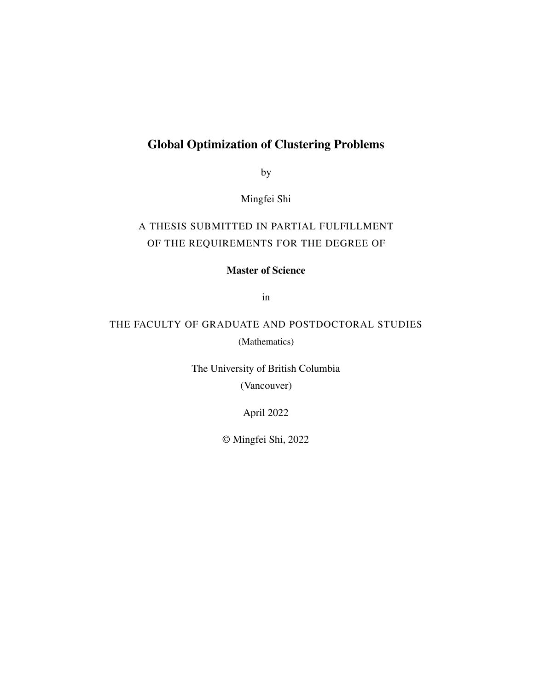#### Global Optimization of Clustering Problems

by

Mingfei Shi

#### A THESIS SUBMITTED IN PARTIAL FULFILLMENT OF THE REQUIREMENTS FOR THE DEGREE OF

Master of Science

in

#### THE FACULTY OF GRADUATE AND POSTDOCTORAL STUDIES (Mathematics)

The University of British Columbia (Vancouver)

April 2022

© Mingfei Shi, 2022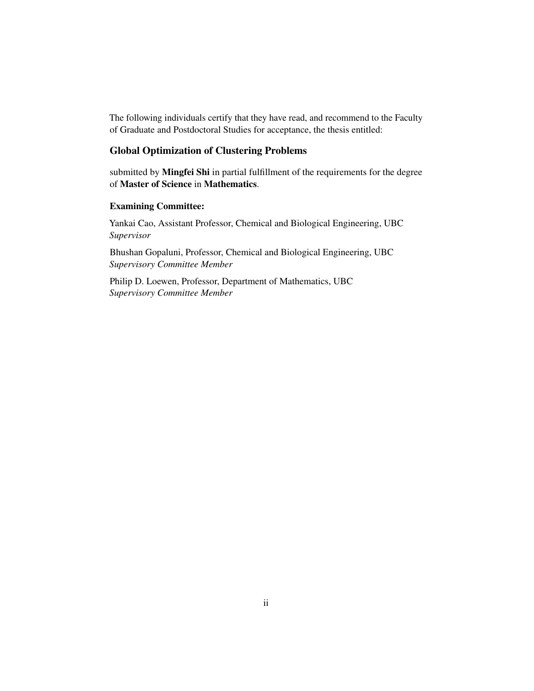The following individuals certify that they have read, and recommend to the Faculty of Graduate and Postdoctoral Studies for acceptance, the thesis entitled:

#### Global Optimization of Clustering Problems

submitted by Mingfei Shi in partial fulfillment of the requirements for the degree of Master of Science in Mathematics.

#### Examining Committee:

Yankai Cao, Assistant Professor, Chemical and Biological Engineering, UBC *Supervisor*

Bhushan Gopaluni, Professor, Chemical and Biological Engineering, UBC *Supervisory Committee Member*

Philip D. Loewen, Professor, Department of Mathematics, UBC *Supervisory Committee Member*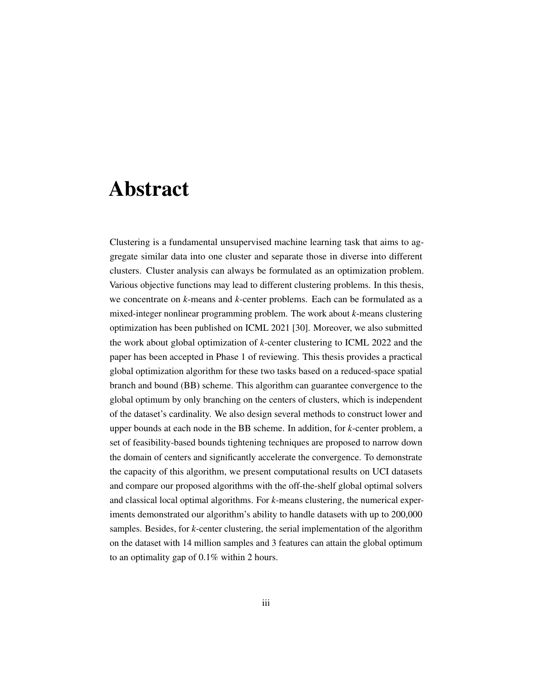### <span id="page-2-1"></span><span id="page-2-0"></span>Abstract

Clustering is a fundamental unsupervised machine learning task that aims to aggregate similar data into one cluster and separate those in diverse into different clusters. Cluster analysis can always be formulated as an optimization problem. Various objective functions may lead to different clustering problems. In this thesis, we concentrate on *k*-means and *k*-center problems. Each can be formulated as a mixed-integer nonlinear programming problem. The work about *k*-means clustering optimization has been published on ICML 2021 [\[30\]](#page-52-0). Moreover, we also submitted the work about global optimization of *k*-center clustering to ICML 2022 and the paper has been accepted in Phase 1 of reviewing. This thesis provides a practical global optimization algorithm for these two tasks based on a reduced-space spatial branch and bound (BB) scheme. This algorithm can guarantee convergence to the global optimum by only branching on the centers of clusters, which is independent of the dataset's cardinality. We also design several methods to construct lower and upper bounds at each node in the BB scheme. In addition, for *k*-center problem, a set of feasibility-based bounds tightening techniques are proposed to narrow down the domain of centers and significantly accelerate the convergence. To demonstrate the capacity of this algorithm, we present computational results on UCI datasets and compare our proposed algorithms with the off-the-shelf global optimal solvers and classical local optimal algorithms. For *k*-means clustering, the numerical experiments demonstrated our algorithm's ability to handle datasets with up to 200,000 samples. Besides, for *k*-center clustering, the serial implementation of the algorithm on the dataset with 14 million samples and 3 features can attain the global optimum to an optimality gap of 0.1% within 2 hours.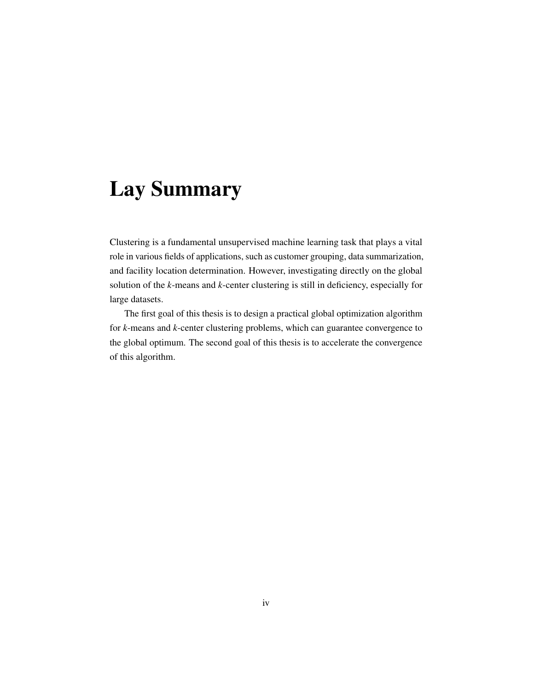## <span id="page-3-0"></span>Lay Summary

Clustering is a fundamental unsupervised machine learning task that plays a vital role in various fields of applications, such as customer grouping, data summarization, and facility location determination. However, investigating directly on the global solution of the *k*-means and *k*-center clustering is still in deficiency, especially for large datasets.

The first goal of this thesis is to design a practical global optimization algorithm for *k*-means and *k*-center clustering problems, which can guarantee convergence to the global optimum. The second goal of this thesis is to accelerate the convergence of this algorithm.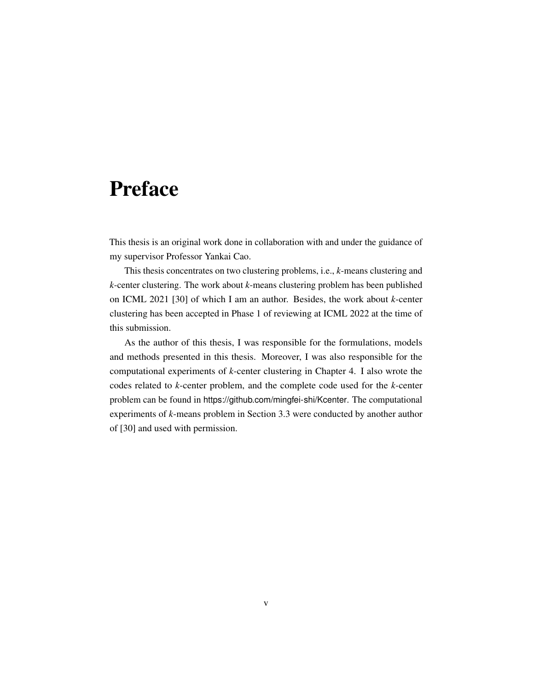### <span id="page-4-1"></span><span id="page-4-0"></span>Preface

This thesis is an original work done in collaboration with and under the guidance of my supervisor Professor Yankai Cao.

This thesis concentrates on two clustering problems, i.e., *k*-means clustering and *k*-center clustering. The work about *k*-means clustering problem has been published on ICML 2021 [\[30\]](#page-52-0) of which I am an author. Besides, the work about *k*-center clustering has been accepted in Phase 1 of reviewing at ICML 2022 at the time of this submission.

As the author of this thesis, I was responsible for the formulations, models and methods presented in this thesis. Moreover, I was also responsible for the computational experiments of *k*-center clustering in Chapter [4.](#page-32-0) I also wrote the codes related to *k*-center problem, and the complete code used for the *k*-center problem can be found in <https://github.com/mingfei-shi/Kcenter>. The computational experiments of *k*-means problem in Section [3.3](#page-26-0) were conducted by another author of [\[30\]](#page-52-0) and used with permission.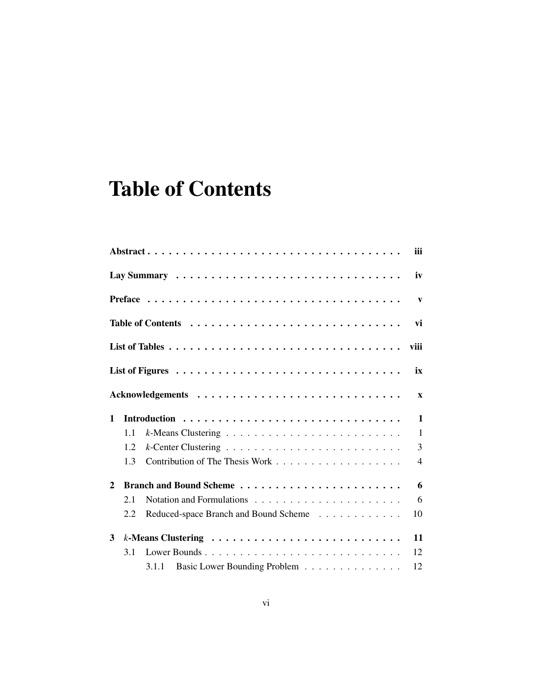## <span id="page-5-0"></span>Table of Contents

|              |     |                                       | <b>iii</b>     |
|--------------|-----|---------------------------------------|----------------|
|              |     |                                       | iv             |
|              |     |                                       | $\mathbf{v}$   |
|              |     |                                       | vi             |
|              |     |                                       | viii           |
|              |     |                                       | ix             |
|              |     |                                       | $\mathbf{x}$   |
| $\mathbf{1}$ |     |                                       | $\mathbf{1}$   |
|              | 1.1 |                                       | $\mathbf{1}$   |
|              | 1.2 |                                       | $\overline{3}$ |
|              | 1.3 |                                       | $\overline{4}$ |
| $\mathbf{2}$ |     |                                       | 6              |
|              | 2.1 |                                       | 6              |
|              | 2.2 | Reduced-space Branch and Bound Scheme | 10             |
| 3            |     |                                       | 11             |
|              | 3.1 | Lower Bounds                          | 12             |
|              |     | 3.1.1 Basic Lower Bounding Problem    | 12             |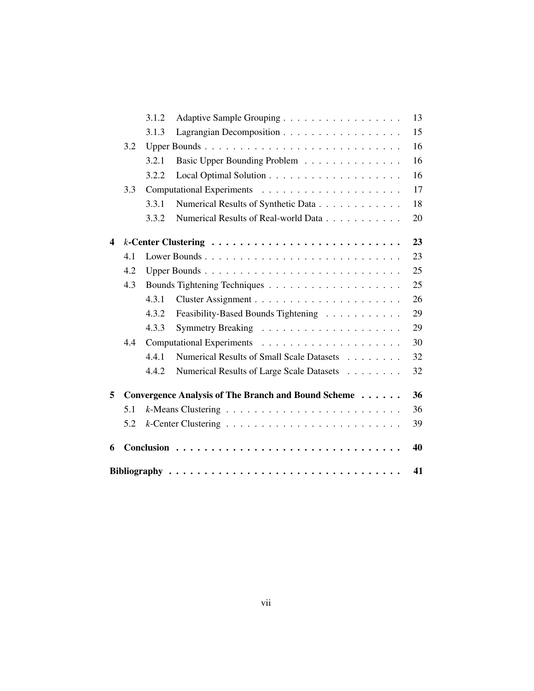|   |     | 3.1.2 | Adaptive Sample Grouping                            | 13 |
|---|-----|-------|-----------------------------------------------------|----|
|   |     | 3.1.3 | Lagrangian Decomposition                            | 15 |
|   | 3.2 |       | Upper Bounds                                        | 16 |
|   |     | 3.2.1 | Basic Upper Bounding Problem                        | 16 |
|   |     | 3.2.2 |                                                     | 16 |
|   | 3.3 |       |                                                     | 17 |
|   |     | 3.3.1 | Numerical Results of Synthetic Data                 | 18 |
|   |     | 3.3.2 | Numerical Results of Real-world Data                | 20 |
| 4 |     |       |                                                     | 23 |
|   | 4.1 |       |                                                     | 23 |
|   | 4.2 |       |                                                     | 25 |
|   | 4.3 |       |                                                     | 25 |
|   |     | 4.3.1 |                                                     | 26 |
|   |     | 4.3.2 | Feasibility-Based Bounds Tightening                 | 29 |
|   |     | 4.3.3 |                                                     | 29 |
|   | 4.4 |       |                                                     | 30 |
|   |     | 4.4.1 | Numerical Results of Small Scale Datasets           | 32 |
|   |     | 4.4.2 | Numerical Results of Large Scale Datasets           | 32 |
| 5 |     |       | Convergence Analysis of The Branch and Bound Scheme | 36 |
|   | 5.1 |       |                                                     | 36 |
|   | 5.2 |       |                                                     | 39 |
| 6 |     |       |                                                     | 40 |
|   |     |       |                                                     | 41 |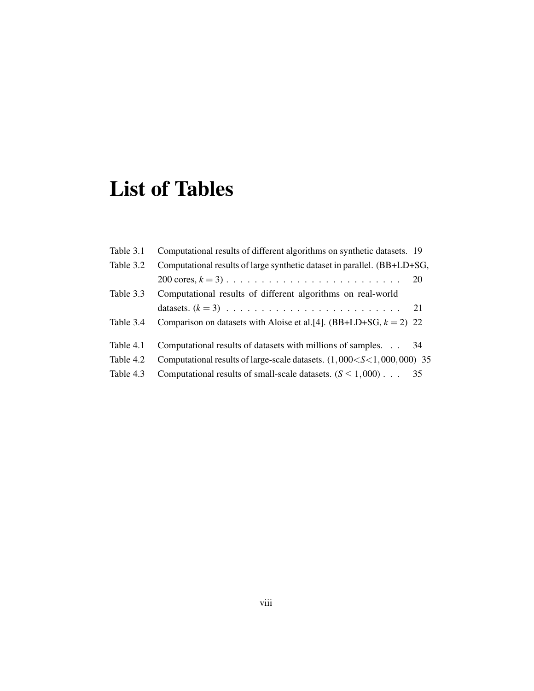## <span id="page-7-1"></span><span id="page-7-0"></span>List of Tables

| Table 3.1 | Computational results of different algorithms on synthetic datasets. 19     |    |
|-----------|-----------------------------------------------------------------------------|----|
| Table 3.2 | Computational results of large synthetic dataset in parallel. (BB+LD+SG,    |    |
|           |                                                                             | 20 |
| Table 3.3 | Computational results of different algorithms on real-world                 |    |
|           |                                                                             | 21 |
| Table 3.4 | Comparison on datasets with Aloise et al. [4]. (BB+LD+SG, $k = 2$ ) 22      |    |
| Table 4.1 | Computational results of datasets with millions of samples.                 | 34 |
| Table 4.2 | Computational results of large-scale datasets. $(1,000 < S < 1,000,000)$ 35 |    |
|           |                                                                             |    |
| Table 4.3 | Computational results of small-scale datasets. $(S \le 1,000)$              | 35 |
|           |                                                                             |    |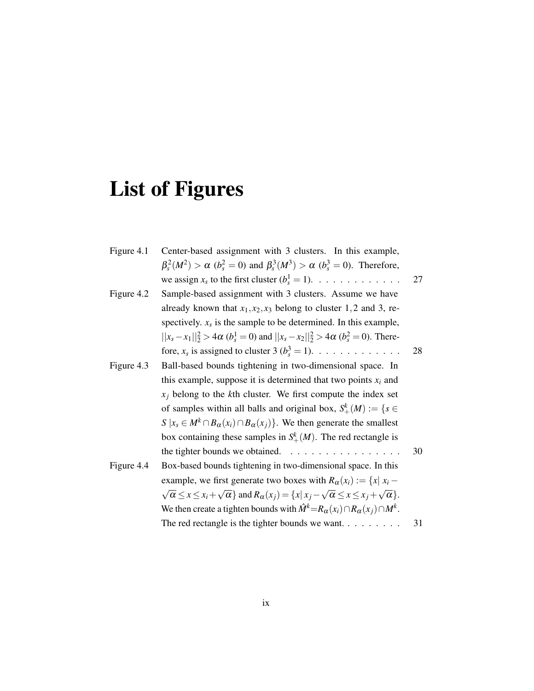# <span id="page-8-0"></span>List of Figures

| Figure 4.1 | Center-based assignment with 3 clusters. In this example,                                                                            |    |
|------------|--------------------------------------------------------------------------------------------------------------------------------------|----|
|            | $\beta_s^2(M^2) > \alpha$ ( $b_s^2 = 0$ ) and $\beta_s^3(M^3) > \alpha$ ( $b_s^3 = 0$ ). Therefore,                                  |    |
|            | we assign $x_s$ to the first cluster $(b_s^1 = 1)$ .                                                                                 | 27 |
| Figure 4.2 | Sample-based assignment with 3 clusters. Assume we have                                                                              |    |
|            | already known that $x_1, x_2, x_3$ belong to cluster 1,2 and 3, re-                                                                  |    |
|            | spectively. $x_s$ is the sample to be determined. In this example,                                                                   |    |
|            | $  x_s - x_1  _2^2 > 4\alpha$ ( $b_s^1 = 0$ ) and $  x_s - x_2  _2^2 > 4\alpha$ ( $b_s^2 = 0$ ). There-                              |    |
|            | fore, $x_s$ is assigned to cluster 3 ( $b_s^3 = 1$ ).                                                                                | 28 |
| Figure 4.3 | Ball-based bounds tightening in two-dimensional space. In                                                                            |    |
|            | this example, suppose it is determined that two points $x_i$ and                                                                     |    |
|            | $x_i$ belong to the kth cluster. We first compute the index set                                                                      |    |
|            | of samples within all balls and original box, $S^k_+(M) := \{ s \in$                                                                 |    |
|            | $S   x_s \in M^k \cap B_{\alpha}(x_i) \cap B_{\alpha}(x_j)$ . We then generate the smallest                                          |    |
|            | box containing these samples in $S^k_+(M)$ . The red rectangle is                                                                    |    |
|            | the tighter bounds we obtained.                                                                                                      | 30 |
| Figure 4.4 | Box-based bounds tightening in two-dimensional space. In this                                                                        |    |
|            | example, we first generate two boxes with $R_{\alpha}(x_i) := \{x   x_i -$                                                           |    |
|            | $\sqrt{\alpha} \leq x \leq x_i + \sqrt{\alpha}$ and $R_{\alpha}(x_i) = \{x   x_i - \sqrt{\alpha} \leq x \leq x_i + \sqrt{\alpha}\}.$ |    |
|            | We then create a tighten bounds with $\hat{M}^k = R_{\alpha}(x_i) \cap R_{\alpha}(x_j) \cap M^k$ .                                   |    |
|            | The red rectangle is the tighter bounds we want. $\dots$                                                                             | 31 |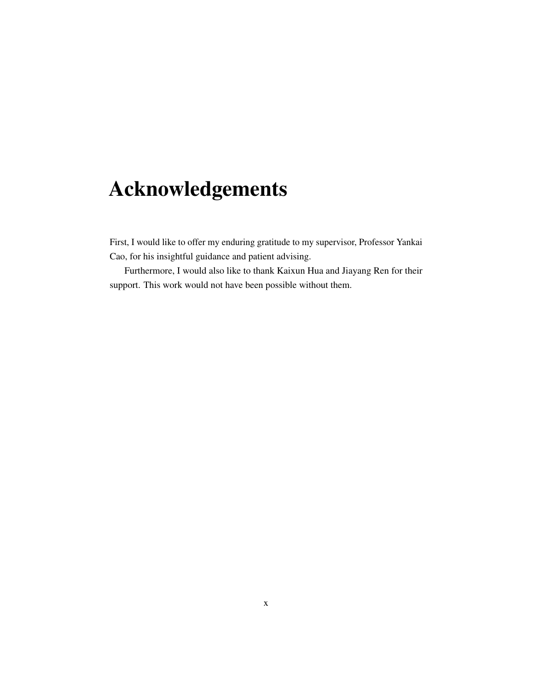## <span id="page-9-0"></span>Acknowledgements

First, I would like to offer my enduring gratitude to my supervisor, Professor Yankai Cao, for his insightful guidance and patient advising.

Furthermore, I would also like to thank Kaixun Hua and Jiayang Ren for their support. This work would not have been possible without them.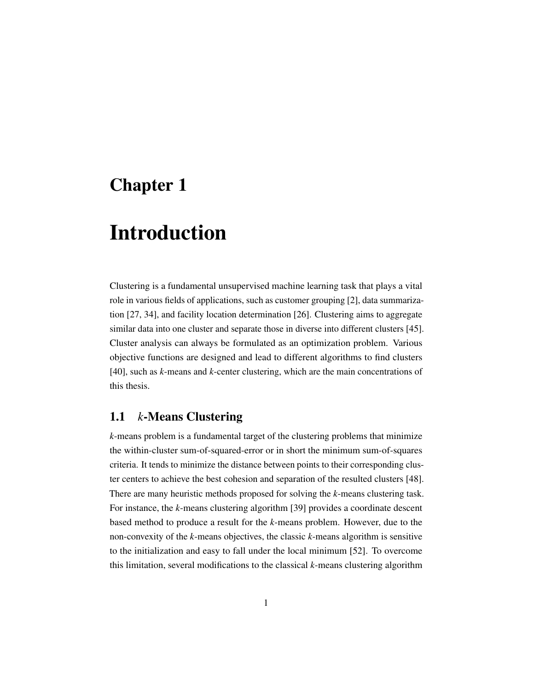### <span id="page-10-2"></span><span id="page-10-0"></span>Chapter 1

## Introduction

Clustering is a fundamental unsupervised machine learning task that plays a vital role in various fields of applications, such as customer grouping [\[2\]](#page-50-2), data summarization [\[27,](#page-52-1) [34\]](#page-53-0), and facility location determination [\[26\]](#page-52-2). Clustering aims to aggregate similar data into one cluster and separate those in diverse into different clusters [\[45\]](#page-53-1). Cluster analysis can always be formulated as an optimization problem. Various objective functions are designed and lead to different algorithms to find clusters [\[40\]](#page-53-2), such as *k*-means and *k*-center clustering, which are the main concentrations of this thesis.

#### <span id="page-10-1"></span>1.1 *k*-Means Clustering

*k*-means problem is a fundamental target of the clustering problems that minimize the within-cluster sum-of-squared-error or in short the minimum sum-of-squares criteria. It tends to minimize the distance between points to their corresponding cluster centers to achieve the best cohesion and separation of the resulted clusters [\[48\]](#page-54-0). There are many heuristic methods proposed for solving the *k*-means clustering task. For instance, the *k*-means clustering algorithm [\[39\]](#page-53-3) provides a coordinate descent based method to produce a result for the *k*-means problem. However, due to the non-convexity of the *k*-means objectives, the classic *k*-means algorithm is sensitive to the initialization and easy to fall under the local minimum [\[52\]](#page-54-1). To overcome this limitation, several modifications to the classical *k*-means clustering algorithm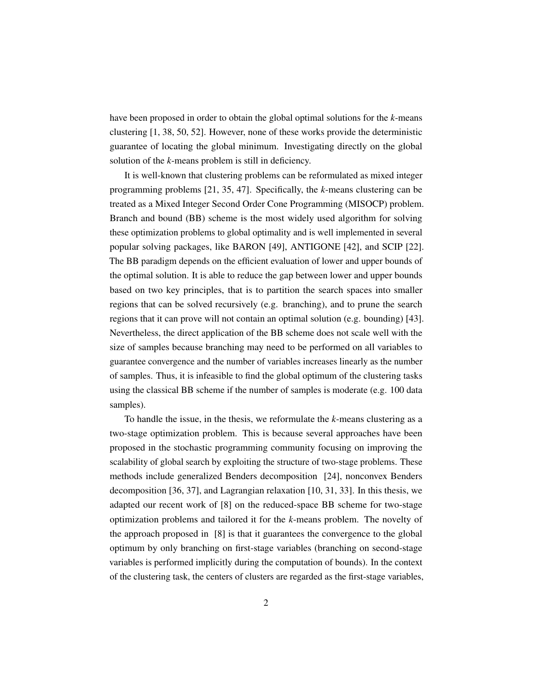<span id="page-11-0"></span>have been proposed in order to obtain the global optimal solutions for the *k*-means clustering [\[1,](#page-50-3) [38,](#page-53-4) [50,](#page-54-2) [52\]](#page-54-1). However, none of these works provide the deterministic guarantee of locating the global minimum. Investigating directly on the global solution of the *k*-means problem is still in deficiency.

It is well-known that clustering problems can be reformulated as mixed integer programming problems [\[21,](#page-51-0) [35,](#page-53-5) [47\]](#page-54-3). Specifically, the *k*-means clustering can be treated as a Mixed Integer Second Order Cone Programming (MISOCP) problem. Branch and bound (BB) scheme is the most widely used algorithm for solving these optimization problems to global optimality and is well implemented in several popular solving packages, like BARON [\[49\]](#page-54-4), ANTIGONE [\[42\]](#page-53-6), and SCIP [\[22\]](#page-52-3). The BB paradigm depends on the efficient evaluation of lower and upper bounds of the optimal solution. It is able to reduce the gap between lower and upper bounds based on two key principles, that is to partition the search spaces into smaller regions that can be solved recursively (e.g. branching), and to prune the search regions that it can prove will not contain an optimal solution (e.g. bounding) [\[43\]](#page-53-7). Nevertheless, the direct application of the BB scheme does not scale well with the size of samples because branching may need to be performed on all variables to guarantee convergence and the number of variables increases linearly as the number of samples. Thus, it is infeasible to find the global optimum of the clustering tasks using the classical BB scheme if the number of samples is moderate (e.g. 100 data samples).

To handle the issue, in the thesis, we reformulate the *k*-means clustering as a two-stage optimization problem. This is because several approaches have been proposed in the stochastic programming community focusing on improving the scalability of global search by exploiting the structure of two-stage problems. These methods include generalized Benders decomposition [\[24\]](#page-52-4), nonconvex Benders decomposition [\[36,](#page-53-8) [37\]](#page-53-9), and Lagrangian relaxation [\[10,](#page-51-1) [31,](#page-52-5) [33\]](#page-52-6). In this thesis, we adapted our recent work of [\[8\]](#page-50-4) on the reduced-space BB scheme for two-stage optimization problems and tailored it for the *k*-means problem. The novelty of the approach proposed in [\[8\]](#page-50-4) is that it guarantees the convergence to the global optimum by only branching on first-stage variables (branching on second-stage variables is performed implicitly during the computation of bounds). In the context of the clustering task, the centers of clusters are regarded as the first-stage variables,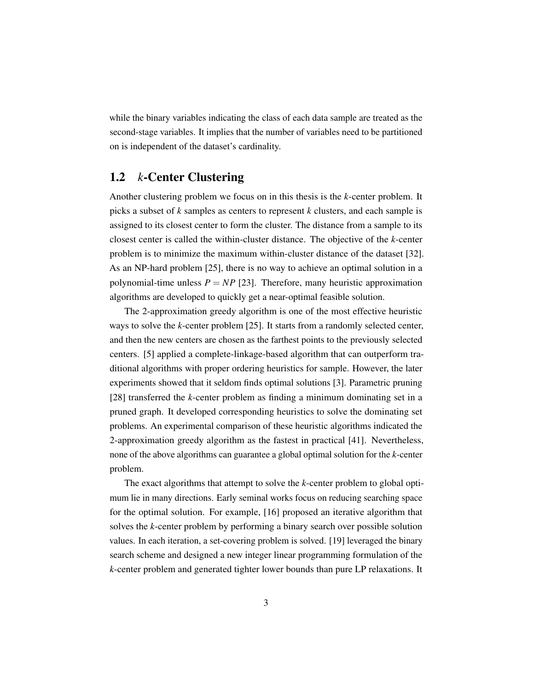<span id="page-12-1"></span>while the binary variables indicating the class of each data sample are treated as the second-stage variables. It implies that the number of variables need to be partitioned on is independent of the dataset's cardinality.

#### <span id="page-12-0"></span>1.2 *k*-Center Clustering

Another clustering problem we focus on in this thesis is the *k*-center problem. It picks a subset of *k* samples as centers to represent *k* clusters, and each sample is assigned to its closest center to form the cluster. The distance from a sample to its closest center is called the within-cluster distance. The objective of the *k*-center problem is to minimize the maximum within-cluster distance of the dataset [\[32\]](#page-52-7). As an NP-hard problem [\[25\]](#page-52-8), there is no way to achieve an optimal solution in a polynomial-time unless  $P = NP$  [\[23\]](#page-52-9). Therefore, many heuristic approximation algorithms are developed to quickly get a near-optimal feasible solution.

The 2-approximation greedy algorithm is one of the most effective heuristic ways to solve the *k*-center problem [\[25\]](#page-52-8). It starts from a randomly selected center, and then the new centers are chosen as the farthest points to the previously selected centers. [\[5\]](#page-50-5) applied a complete-linkage-based algorithm that can outperform traditional algorithms with proper ordering heuristics for sample. However, the later experiments showed that it seldom finds optimal solutions [\[3\]](#page-50-6). Parametric pruning [\[28\]](#page-52-10) transferred the *k*-center problem as finding a minimum dominating set in a pruned graph. It developed corresponding heuristics to solve the dominating set problems. An experimental comparison of these heuristic algorithms indicated the 2-approximation greedy algorithm as the fastest in practical [\[41\]](#page-53-10). Nevertheless, none of the above algorithms can guarantee a global optimal solution for the *k*-center problem.

The exact algorithms that attempt to solve the *k*-center problem to global optimum lie in many directions. Early seminal works focus on reducing searching space for the optimal solution. For example, [\[16\]](#page-51-2) proposed an iterative algorithm that solves the *k*-center problem by performing a binary search over possible solution values. In each iteration, a set-covering problem is solved. [\[19\]](#page-51-3) leveraged the binary search scheme and designed a new integer linear programming formulation of the *k*-center problem and generated tighter lower bounds than pure LP relaxations. It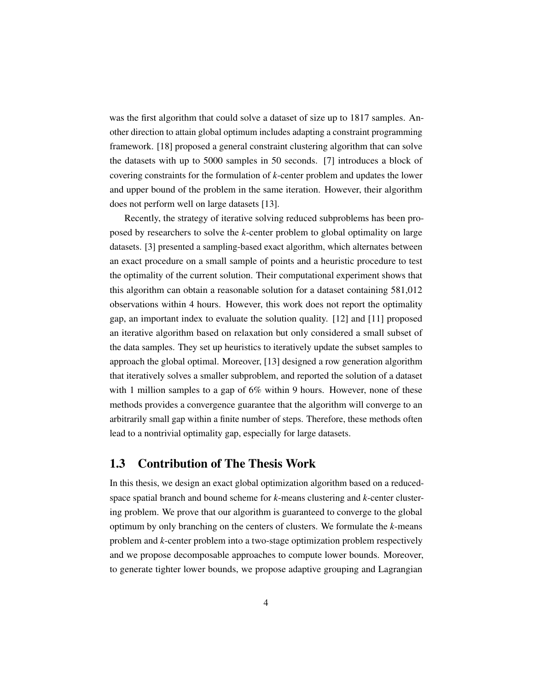<span id="page-13-1"></span>was the first algorithm that could solve a dataset of size up to 1817 samples. Another direction to attain global optimum includes adapting a constraint programming framework. [\[18\]](#page-51-4) proposed a general constraint clustering algorithm that can solve the datasets with up to 5000 samples in 50 seconds. [\[7\]](#page-50-7) introduces a block of covering constraints for the formulation of *k*-center problem and updates the lower and upper bound of the problem in the same iteration. However, their algorithm does not perform well on large datasets [\[13\]](#page-51-5).

Recently, the strategy of iterative solving reduced subproblems has been proposed by researchers to solve the *k*-center problem to global optimality on large datasets. [\[3\]](#page-50-6) presented a sampling-based exact algorithm, which alternates between an exact procedure on a small sample of points and a heuristic procedure to test the optimality of the current solution. Their computational experiment shows that this algorithm can obtain a reasonable solution for a dataset containing 581,012 observations within 4 hours. However, this work does not report the optimality gap, an important index to evaluate the solution quality. [\[12\]](#page-51-6) and [\[11\]](#page-51-7) proposed an iterative algorithm based on relaxation but only considered a small subset of the data samples. They set up heuristics to iteratively update the subset samples to approach the global optimal. Moreover, [\[13\]](#page-51-5) designed a row generation algorithm that iteratively solves a smaller subproblem, and reported the solution of a dataset with 1 million samples to a gap of 6% within 9 hours. However, none of these methods provides a convergence guarantee that the algorithm will converge to an arbitrarily small gap within a finite number of steps. Therefore, these methods often lead to a nontrivial optimality gap, especially for large datasets.

#### <span id="page-13-0"></span>1.3 Contribution of The Thesis Work

In this thesis, we design an exact global optimization algorithm based on a reducedspace spatial branch and bound scheme for *k*-means clustering and *k*-center clustering problem. We prove that our algorithm is guaranteed to converge to the global optimum by only branching on the centers of clusters. We formulate the *k*-means problem and *k*-center problem into a two-stage optimization problem respectively and we propose decomposable approaches to compute lower bounds. Moreover, to generate tighter lower bounds, we propose adaptive grouping and Lagrangian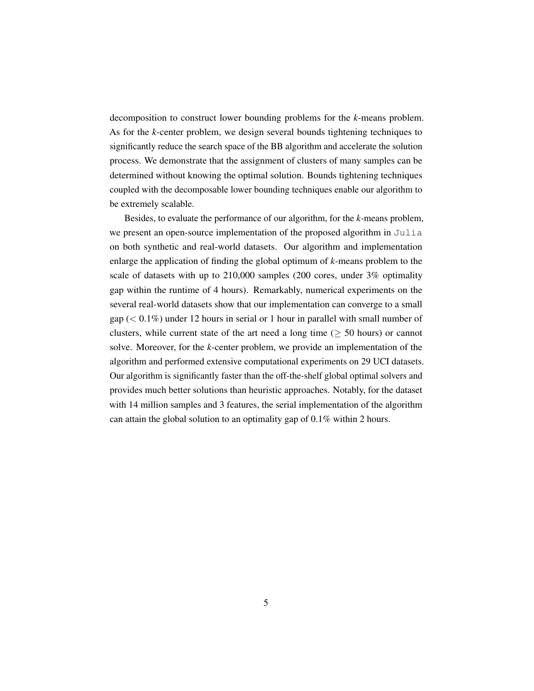decomposition to construct lower bounding problems for the *k*-means problem. As for the *k*-center problem, we design several bounds tightening techniques to significantly reduce the search space of the BB algorithm and accelerate the solution process. We demonstrate that the assignment of clusters of many samples can be determined without knowing the optimal solution. Bounds tightening techniques coupled with the decomposable lower bounding techniques enable our algorithm to be extremely scalable.

Besides, to evaluate the performance of our algorithm, for the *k*-means problem, we present an open-source implementation of the proposed algorithm in Julia on both synthetic and real-world datasets. Our algorithm and implementation enlarge the application of finding the global optimum of *k*-means problem to the scale of datasets with up to 210,000 samples (200 cores, under 3% optimality gap within the runtime of 4 hours). Remarkably, numerical experiments on the several real-world datasets show that our implementation can converge to a small gap  $( $0.1\%$ )$  under 12 hours in serial or 1 hour in parallel with small number of clusters, while current state of the art need a long time ( $\geq$  50 hours) or cannot solve. Moreover, for the *k*-center problem, we provide an implementation of the algorithm and performed extensive computational experiments on 29 UCI datasets. Our algorithm is significantly faster than the off-the-shelf global optimal solvers and provides much better solutions than heuristic approaches. Notably, for the dataset with 14 million samples and 3 features, the serial implementation of the algorithm can attain the global solution to an optimality gap of 0.1% within 2 hours.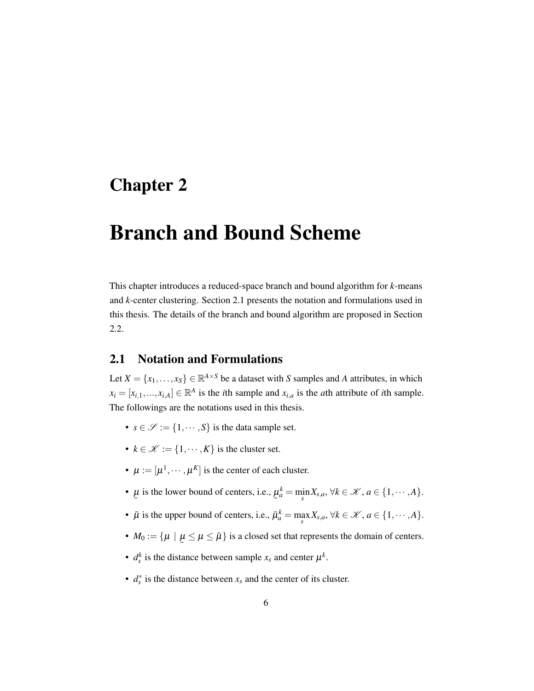### <span id="page-15-0"></span>Chapter 2

### Branch and Bound Scheme

This chapter introduces a reduced-space branch and bound algorithm for *k*-means and *k*-center clustering. Section [2.1](#page-15-1) presents the notation and formulations used in this thesis. The details of the branch and bound algorithm are proposed in Section [2.2.](#page-19-0)

#### <span id="page-15-1"></span>2.1 Notation and Formulations

Let  $X = \{x_1, \ldots, x_S\} \in \mathbb{R}^{A \times S}$  be a dataset with *S* samples and *A* attributes, in which  $x_i = [x_{i,1},...,x_{i,A}] \in \mathbb{R}^A$  is the *i*th sample and  $x_{i,a}$  is the *a*th attribute of *i*th sample. The followings are the notations used in this thesis.

- $s \in \mathcal{S} := \{1, \dots, S\}$  is the data sample set.
- $k \in \mathcal{K} := \{1, \dots, K\}$  is the cluster set.
- $\mu := [\mu^1, \dots, \mu^K]$  is the center of each cluster.
- ¯  $\mu$  is the lower bound of centers, i.e., ¯  $\mu_a^k = \min_s X_{s,a}, \forall k \in \mathcal{K}, a \in \{1, \cdots, A\}.$
- $\bar{\mu}$  is the upper bound of centers, i.e.,  $\bar{\mu}_a^k = \max_s X_{s,a}, \forall k \in \mathcal{K}, a \in \{1, \cdots, A\}.$
- $M_0 := \{ \mu \mid \underline{\mu} \le \mu \le \overline{\mu} \}$  is a closed set that represents the domain of centers.
- $d_s^k$  is the distance between sample  $x_s$  and center  $\mu^k$ .
- *d* ∗ *s* is the distance between *x<sup>s</sup>* and the center of its cluster.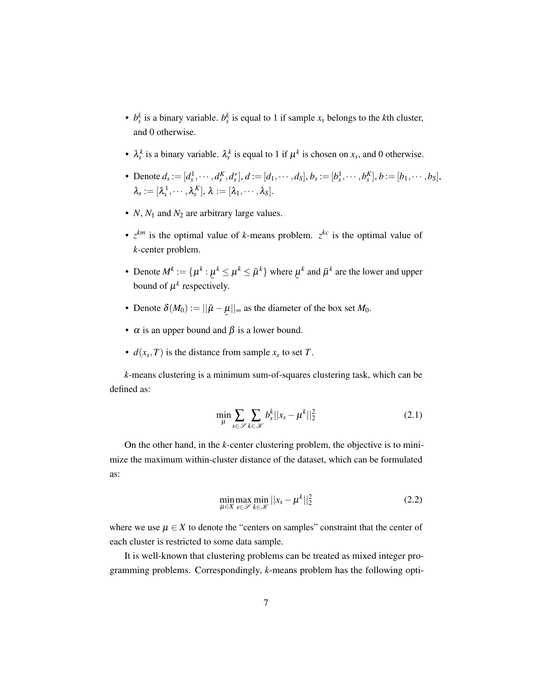- $b_s^k$  is a binary variable.  $b_s^k$  is equal to 1 if sample  $x_s$  belongs to the *k*th cluster, and 0 otherwise.
- $\lambda_s^k$  is a binary variable.  $\lambda_s^k$  is equal to 1 if  $\mu^k$  is chosen on  $x_s$ , and 0 otherwise.
- Denote  $d_s := [d_s^1, \cdots, d_s^K, d_s^*], d := [d_1, \cdots, d_s], b_s := [b_s^1, \cdots, b_s^K], b := [b_1, \cdots, b_s],$  $\lambda_{\scriptscriptstyle S} := [\lambda_{\scriptscriptstyle S}^{\,1},\cdots,\lambda_{\scriptscriptstyle S}^{\,K}], \, \lambda := [\lambda_1,\cdots,\lambda_S].$
- $N$ ,  $N_1$  and  $N_2$  are arbitrary large values.
- $z^{km}$  is the optimal value of *k*-means problem.  $z^{kc}$  is the optimal value of *k*-center problem.
- Denote  $M^k := \{\mu^k : \mu^k \le \mu^k \le \bar{\mu}^k\}$  where  $\mu$ <br>hound of *uk* reconstitutive bound of  $\mu^k$  respectively.  $\mu^k$  and  $\bar\mu^k$  are the lower and upper
- Denote  $\delta(M_0) := ||\bar{\mu} \underline{\mu}||_{\infty}$  as the diameter of the box set  $M_0$ .
- $\alpha$  is an upper bound and  $\beta$  is a lower bound.
- $d(x_s, T)$  is the distance from sample  $x_s$  to set *T*.

*k*-means clustering is a minimum sum-of-squares clustering task, which can be defined as:

$$
\min_{\mu} \sum_{s \in \mathscr{S}} \sum_{k \in \mathscr{K}} b_s^k ||x_s - \mu^k||_2^2 \tag{2.1}
$$

On the other hand, in the *k*-center clustering problem, the objective is to minimize the maximum within-cluster distance of the dataset, which can be formulated as:

$$
\min_{\mu \in X} \max_{s \in \mathscr{S}} \min_{k \in \mathscr{K}} ||x_s - \mu^k||_2^2 \tag{2.2}
$$

where we use  $\mu \in X$  to denote the "centers on samples" constraint that the center of each cluster is restricted to some data sample.

It is well-known that clustering problems can be treated as mixed integer programming problems. Correspondingly, *k*-means problem has the following opti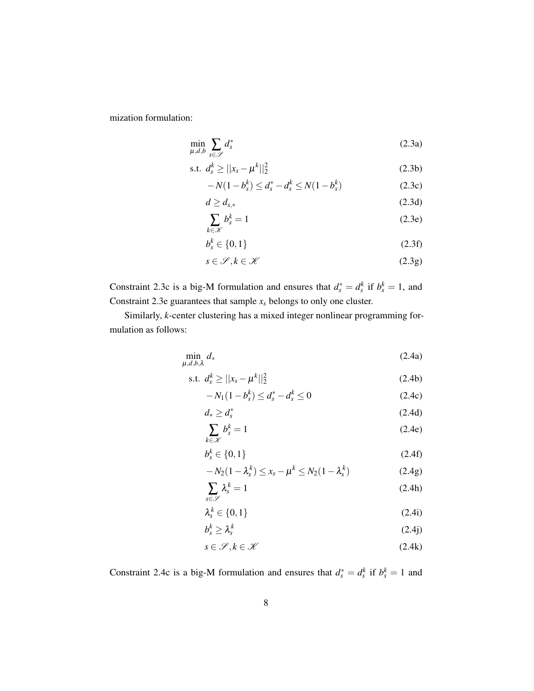mization formulation:

<span id="page-17-7"></span>
$$
\min_{\mu,d,b} \sum_{s \in \mathscr{S}} d_s^* \tag{2.3a}
$$

s.t. 
$$
d_s^k \ge ||x_s - \mu^k||_2^2
$$
 (2.3b)

<span id="page-17-0"></span>
$$
-N(1-b_s^k) \le d_s^* - d_s^k \le N(1-b_s^k)
$$
\n(2.3c)

$$
d \ge d_{s,*} \tag{2.3d}
$$

<span id="page-17-1"></span>
$$
\sum_{k \in \mathcal{K}} b_s^k = 1 \tag{2.3e}
$$

$$
b_s^k \in \{0, 1\} \tag{2.3f}
$$

$$
s \in \mathcal{S}, k \in \mathcal{K} \tag{2.3g}
$$

Constraint [2.3c](#page-17-0) is a big-M formulation and ensures that  $d_s^* = d_s^k$  if  $b_s^k = 1$ , and Constraint [2.3e](#page-17-1) guarantees that sample *x<sup>s</sup>* belongs to only one cluster.

Similarly, *k*-center clustering has a mixed integer nonlinear programming formulation as follows:

<span id="page-17-8"></span>
$$
\min_{\mu,d,b,\lambda} d_* \tag{2.4a}
$$

s.t. 
$$
d_s^k \ge ||x_s - \mu^k||_2^2
$$
 (2.4b)

<span id="page-17-10"></span><span id="page-17-9"></span><span id="page-17-3"></span><span id="page-17-2"></span>
$$
-N_1(1-b_s^k) \le d_s^* - d_s^k \le 0
$$
\n(2.4c)

$$
d_* \ge d_s^* \tag{2.4d}
$$

$$
\sum_{k \in \mathcal{K}} b_s^k = 1 \tag{2.4e}
$$

$$
b_s^k \in \{0, 1\} \tag{2.4f}
$$

<span id="page-17-5"></span><span id="page-17-4"></span>
$$
-N_2(1-\lambda_s^k) \le x_s - \mu^k \le N_2(1-\lambda_s^k)
$$
\n(2.4g)

$$
\sum_{s \in \mathscr{S}} \lambda_s^k = 1 \tag{2.4h}
$$

<span id="page-17-6"></span>
$$
\lambda_s^k \in \{0, 1\} \tag{2.4i}
$$

$$
b_s^k \ge \lambda_s^k \tag{2.4}
$$

$$
s \in \mathcal{S}, k \in \mathcal{K} \tag{2.4k}
$$

Constraint [2.4c](#page-17-2) is a big-M formulation and ensures that  $d_s^* = d_s^k$  if  $b_s^k = 1$  and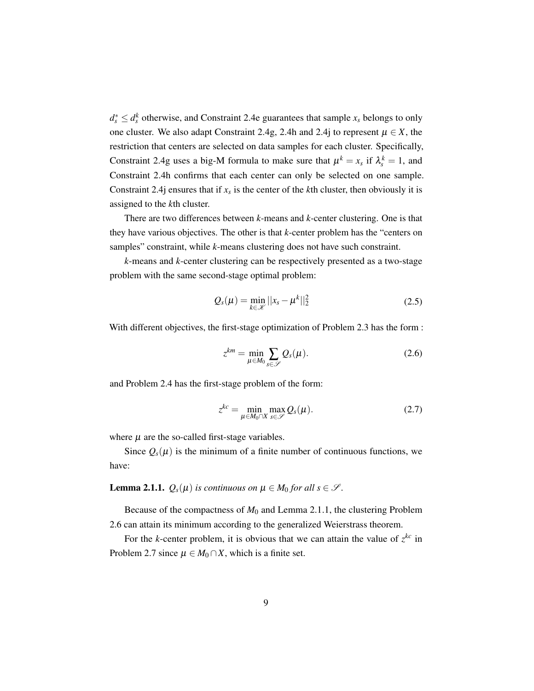$d_s^* \leq d_s^k$  otherwise, and Constraint [2.4e](#page-17-3) guarantees that sample  $x_s$  belongs to only one cluster. We also adapt Constraint [2.4g,](#page-17-4) [2.4h](#page-17-5) and [2.4j](#page-17-6) to represent  $\mu \in X$ , the restriction that centers are selected on data samples for each cluster. Specifically, Constraint [2.4g](#page-17-4) uses a big-M formula to make sure that  $\mu^k = x_s$  if  $\lambda_s^k = 1$ , and Constraint [2.4h](#page-17-5) confirms that each center can only be selected on one sample. Constraint 2.4*j* ensures that if  $x_s$  is the center of the *k*th cluster, then obviously it is assigned to the *k*th cluster.

There are two differences between *k*-means and *k*-center clustering. One is that they have various objectives. The other is that *k*-center problem has the "centers on samples" constraint, while *k*-means clustering does not have such constraint.

*k*-means and *k*-center clustering can be respectively presented as a two-stage problem with the same second-stage optimal problem:

<span id="page-18-3"></span>
$$
Q_s(\mu) = \min_{k \in \mathcal{K}} ||x_s - \mu^k||_2^2
$$
 (2.5)

With different objectives, the first-stage optimization of Problem [2.3](#page-17-7) has the form :

<span id="page-18-1"></span>
$$
z^{km} = \min_{\mu \in M_0} \sum_{s \in \mathscr{S}} Q_s(\mu). \tag{2.6}
$$

and Problem [2.4](#page-17-8) has the first-stage problem of the form:

<span id="page-18-2"></span>
$$
z^{kc} = \min_{\mu \in M_0 \cap X} \max_{s \in \mathscr{S}} Q_s(\mu). \tag{2.7}
$$

where  $\mu$  are the so-called first-stage variables.

Since  $Q_s(\mu)$  is the minimum of a finite number of continuous functions, we have:

<span id="page-18-0"></span>**Lemma 2.1.1.**  $Q_s(\mu)$  *is continuous on*  $\mu \in M_0$  *for all s*  $\in \mathcal{S}$ *.* 

Because of the compactness of  $M_0$  and Lemma [2.1.1,](#page-18-0) the clustering Problem [2.6](#page-18-1) can attain its minimum according to the generalized Weierstrass theorem.

For the *k*-center problem, it is obvious that we can attain the value of  $z^{kc}$  in Problem [2.7](#page-18-2) since  $\mu \in M_0 \cap X$ , which is a finite set.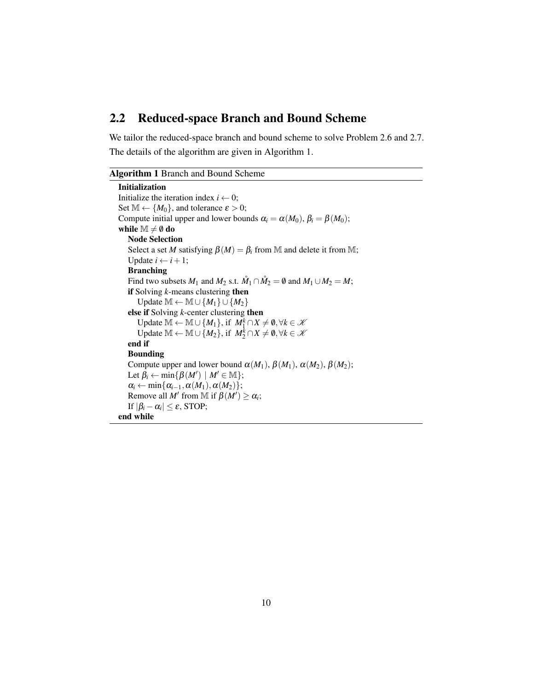#### <span id="page-19-0"></span>2.2 Reduced-space Branch and Bound Scheme

We tailor the reduced-space branch and bound scheme to solve Problem [2.6](#page-18-1) and [2.7.](#page-18-2) The details of the algorithm are given in Algorithm [1.](#page-19-1)

#### <span id="page-19-1"></span>Algorithm 1 Branch and Bound Scheme

```
Initialization
Initialize the iteration index i \leftarrow 0;
Set \mathbb{M} \leftarrow \{M_0\}, and tolerance \varepsilon > 0;
Compute initial upper and lower bounds \alpha_i = \alpha(M_0), \beta_i = \beta(M_0);
while \mathbb{M} \neq \emptyset do
    Node Selection
    Select a set M satisfying \beta(M) = \beta_i from M and delete it from M;
    Update i \leftarrow i + 1;
    Branching
    Find two subsets M_1 and M_2 s.t. \mathring{M}_1 \cap \mathring{M}_2 = \emptyset and M_1 \cup M_2 = M;
    if Solving k-means clustering then
        Update \mathbb{M} \leftarrow \mathbb{M} \cup \{M_1\} \cup \{M_2\}else if Solving k-center clustering then
        Update M ← M ∪ {M_1}, if M_1^k \cap X \neq \emptyset, \forall k \in \mathcal{K}Update M ← M ∪ {M_2}, if M_2^k \cap X \neq \emptyset, \forall k \in \mathcal{K}end if
    Bounding
    Compute upper and lower bound \alpha(M_1), \beta(M_1), \alpha(M_2), \beta(M_2);
    Let \beta_i \leftarrow \min\{\beta(M') \mid M' \in \mathbb{M}\};\alpha_i \leftarrow \min\{\alpha_{i-1}, \alpha(M_1), \alpha(M_2)\};Remove all M' from M if \beta(M') \ge \alpha_i;
    If |\beta_i - \alpha_i| \leq \varepsilon, STOP;
end while
```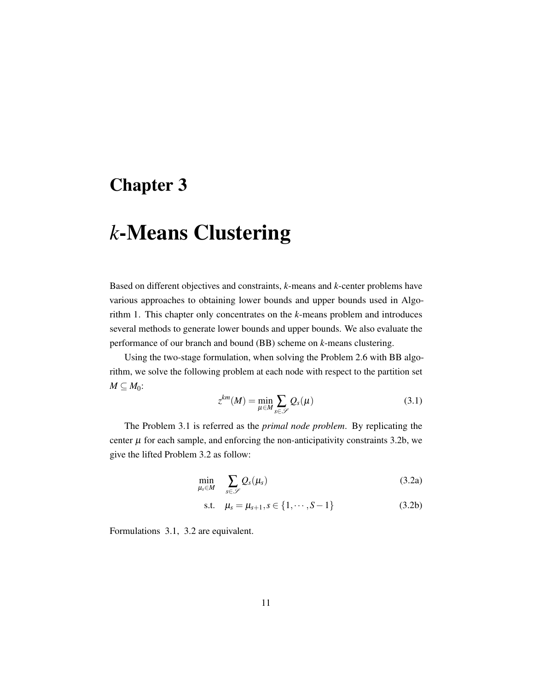### <span id="page-20-0"></span>Chapter 3

## *k*-Means Clustering

Based on different objectives and constraints, *k*-means and *k*-center problems have various approaches to obtaining lower bounds and upper bounds used in Algorithm [1.](#page-19-1) This chapter only concentrates on the *k*-means problem and introduces several methods to generate lower bounds and upper bounds. We also evaluate the performance of our branch and bound (BB) scheme on *k*-means clustering.

Using the two-stage formulation, when solving the Problem [2.6](#page-18-1) with BB algorithm, we solve the following problem at each node with respect to the partition set  $M \subseteq M_0$ :

<span id="page-20-3"></span><span id="page-20-1"></span>
$$
z^{km}(M) = \min_{\mu \in M} \sum_{s \in \mathscr{S}} Q_s(\mu)
$$
 (3.1)

The Problem [3.1](#page-20-1) is referred as the *primal node problem*. By replicating the center  $\mu$  for each sample, and enforcing the non-anticipativity constraints [3.2b,](#page-20-2) we give the lifted Problem [3.2](#page-20-3) as follow:

$$
\min_{\mu_s \in M} \sum_{s \in \mathscr{S}} Q_s(\mu_s) \tag{3.2a}
$$

<span id="page-20-2"></span>s.t. 
$$
\mu_s = \mu_{s+1}, s \in \{1, \cdots, S-1\}
$$
 (3.2b)

Formulations [3.1,](#page-20-1) [3.2](#page-20-3) are equivalent.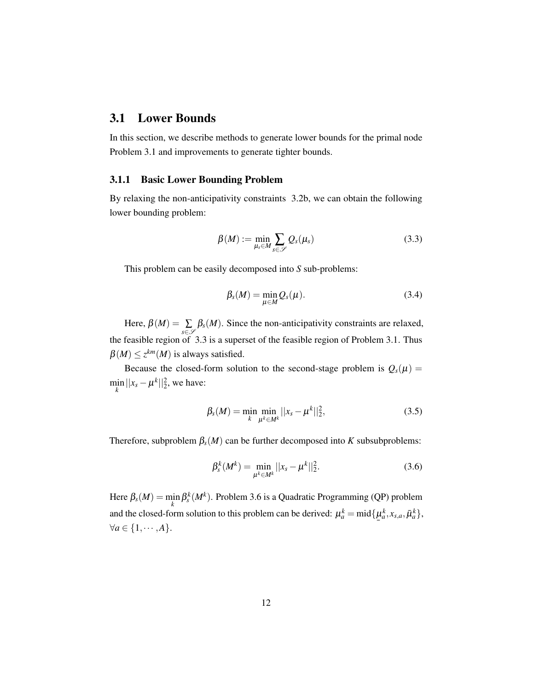#### <span id="page-21-0"></span>3.1 Lower Bounds

In this section, we describe methods to generate lower bounds for the primal node Problem [3.1](#page-20-1) and improvements to generate tighter bounds.

#### <span id="page-21-1"></span>3.1.1 Basic Lower Bounding Problem

By relaxing the non-anticipativity constraints [3.2b,](#page-20-2) we can obtain the following lower bounding problem:

<span id="page-21-2"></span>
$$
\beta(M) := \min_{\mu_s \in M} \sum_{s \in \mathscr{S}} Q_s(\mu_s) \tag{3.3}
$$

This problem can be easily decomposed into *S* sub-problems:

$$
\beta_s(M) = \min_{\mu \in M} Q_s(\mu). \tag{3.4}
$$

Here,  $\beta(M) = \sum$ *s*∈S  $\beta_s(M)$ . Since the non-anticipativity constraints are relaxed, the feasible region of [3.3](#page-21-2) is a superset of the feasible region of Problem [3.1.](#page-20-1) Thus  $\beta(M) \leq z^{km}(M)$  is always satisfied.

Because the closed-form solution to the second-stage problem is  $Q_s(\mu)$  =  $\min_{k} ||x_s - \mu^k||_2^2$ , we have:

$$
\beta_s(M) = \min_k \min_{\mu^k \in M^k} ||x_s - \mu^k||_2^2,
$$
\n(3.5)

Therefore, subproblem  $\beta_s(M)$  can be further decomposed into *K* subsubproblems:

<span id="page-21-3"></span>
$$
\beta_s^k(M^k) = \min_{\mu^k \in M^k} ||x_s - \mu^k||_2^2.
$$
\n(3.6)

Here  $\beta_s(M) = \min_k \beta_s^k(M^k)$ . Problem [3.6](#page-21-3) is a Quadratic Programming (QP) problem and the closed-form solution to this problem can be derived:  $\mu_a^k = \text{mid}\{\mu_a \in [1, 4] \}$  $\mu_a^k, x_{s,a}, \bar{\mu}_a^k$  $\forall a \in \{1, \cdots, A\}.$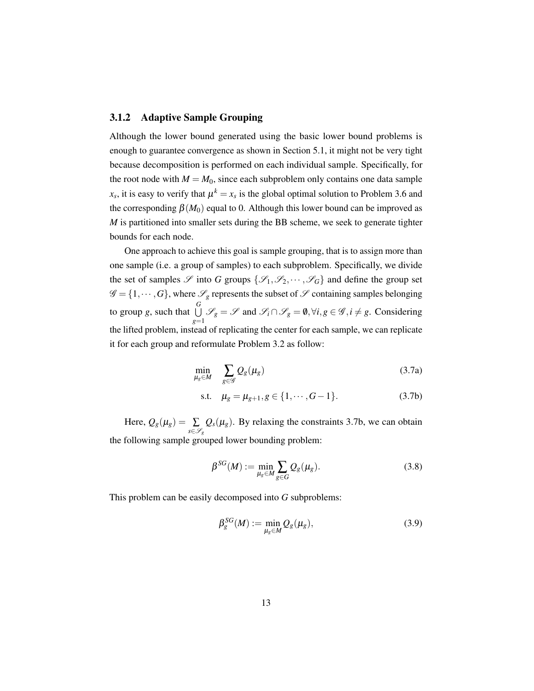#### <span id="page-22-0"></span>3.1.2 Adaptive Sample Grouping

Although the lower bound generated using the basic lower bound problems is enough to guarantee convergence as shown in Section [5.1,](#page-45-1) it might not be very tight because decomposition is performed on each individual sample. Specifically, for the root node with  $M = M_0$ , since each subproblem only contains one data sample  $x_s$ , it is easy to verify that  $\mu^k = x_s$  is the global optimal solution to Problem [3.6](#page-21-3) and the corresponding  $\beta(M_0)$  equal to 0. Although this lower bound can be improved as *M* is partitioned into smaller sets during the BB scheme, we seek to generate tighter bounds for each node.

One approach to achieve this goal is sample grouping, that is to assign more than one sample (i.e. a group of samples) to each subproblem. Specifically, we divide the set of samples  $\mathscr S$  into *G* groups  $\{\mathscr S_1,\mathscr S_2,\cdots,\mathscr S_G\}$  and define the group set  $\mathscr{G} = \{1, \dots, G\}$ , where  $\mathscr{S}_g$  represents the subset of  $\mathscr{S}$  containing samples belonging to group *g*, such that  $\bigcup^G$ *U*  $\mathcal{S}_g$  =  $\mathcal{S}$  and  $\mathcal{S}_i$  ∩  $\mathcal{S}_g$  = 0,  $\forall i, g \in \mathcal{G}, i \neq g$ . Considering  $g=1$ the lifted problem, instead of replicating the center for each sample, we can replicate it for each group and reformulate Problem [3.2](#page-20-3) as follow:

$$
\min_{\mu_g \in M} \quad \sum_{g \in \mathscr{G}} Q_g(\mu_g) \tag{3.7a}
$$

<span id="page-22-1"></span>s.t. 
$$
\mu_g = \mu_{g+1}, g \in \{1, \cdots, G-1\}.
$$
 (3.7b)

Here,  $Q_g(\mu_g) = \sum$ *s*∈S*<sup>g</sup>*  $Q_s(\mu_g)$ . By relaxing the constraints [3.7b,](#page-22-1) we can obtain the following sample grouped lower bounding problem:

<span id="page-22-2"></span>
$$
\beta^{SG}(M) := \min_{\mu_g \in M} \sum_{g \in G} Q_g(\mu_g). \tag{3.8}
$$

This problem can be easily decomposed into *G* subproblems:

$$
\beta_g^{SG}(M) := \min_{\mu_g \in M} Q_g(\mu_g),\tag{3.9}
$$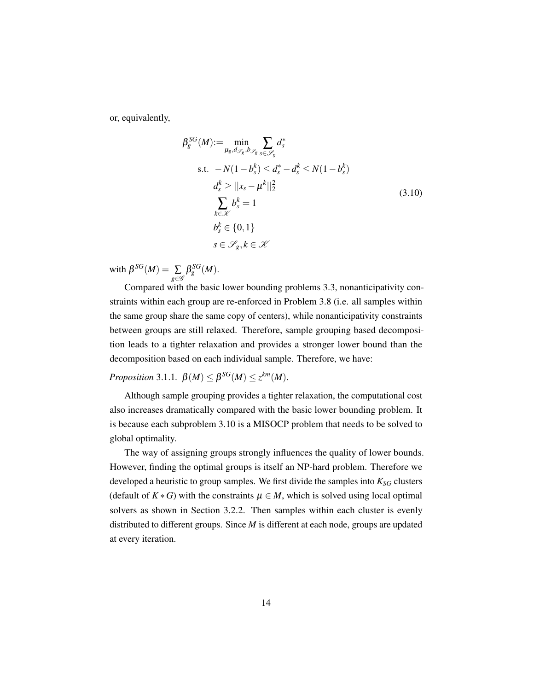or, equivalently,

<span id="page-23-0"></span>
$$
\beta_s^{SG}(M) := \min_{\mu_s, d_{\mathscr{S}_g}, b_{\mathscr{S}_g}} \sum_{s \in \mathscr{S}_g} d_s^*
$$
\n
$$
\text{s.t. } -N(1 - b_s^k) \le d_s^* - d_s^k \le N(1 - b_s^k)
$$
\n
$$
d_s^k \ge ||x_s - \mu^k||_2^2
$$
\n
$$
\sum_{k \in \mathscr{K}} b_s^k = 1
$$
\n
$$
b_s^k \in \{0, 1\}
$$
\n
$$
s \in \mathscr{S}_g, k \in \mathscr{K}
$$
\n(3.10)

with  $\beta^{SG}(M) = \sum$ *g*∈G  $\beta _{g}^{SG}(M).$ 

Compared with the basic lower bounding problems [3.3,](#page-21-2) nonanticipativity constraints within each group are re-enforced in Problem [3.8](#page-22-2) (i.e. all samples within the same group share the same copy of centers), while nonanticipativity constraints between groups are still relaxed. Therefore, sample grouping based decomposition leads to a tighter relaxation and provides a stronger lower bound than the decomposition based on each individual sample. Therefore, we have:

*Proposition* 3.1.1*.*  $\beta(M) \leq \beta^{SG}(M) \leq z^{km}(M)$ *.* 

Although sample grouping provides a tighter relaxation, the computational cost also increases dramatically compared with the basic lower bounding problem. It is because each subproblem [3.10](#page-23-0) is a MISOCP problem that needs to be solved to global optimality.

The way of assigning groups strongly influences the quality of lower bounds. However, finding the optimal groups is itself an NP-hard problem. Therefore we developed a heuristic to group samples. We first divide the samples into *KSG* clusters (default of  $K * G$ ) with the constraints  $\mu \in M$ , which is solved using local optimal solvers as shown in Section [3.2.2.](#page-25-2) Then samples within each cluster is evenly distributed to different groups. Since *M* is different at each node, groups are updated at every iteration.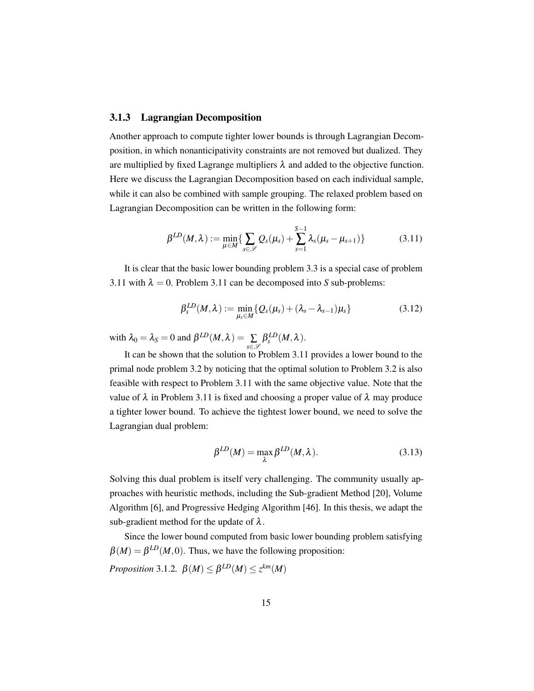#### <span id="page-24-3"></span><span id="page-24-0"></span>3.1.3 Lagrangian Decomposition

Another approach to compute tighter lower bounds is through Lagrangian Decomposition, in which nonanticipativity constraints are not removed but dualized. They are multiplied by fixed Lagrange multipliers  $\lambda$  and added to the objective function. Here we discuss the Lagrangian Decomposition based on each individual sample, while it can also be combined with sample grouping. The relaxed problem based on Lagrangian Decomposition can be written in the following form:

<span id="page-24-1"></span>
$$
\beta^{LD}(M,\lambda) := \min_{\mu \in M} \{ \sum_{s \in \mathscr{S}} Q_s(\mu_s) + \sum_{s=1}^{S-1} \lambda_s(\mu_s - \mu_{s+1}) \}
$$
(3.11)

It is clear that the basic lower bounding problem [3.3](#page-21-2) is a special case of problem [3.11](#page-24-1) with  $\lambda = 0$ . Problem 3.11 can be decomposed into *S* sub-problems:

<span id="page-24-2"></span>
$$
\beta_s^{LD}(M,\lambda) := \min_{\mu_s \in M} \{Q_s(\mu_s) + (\lambda_s - \lambda_{s-1})\mu_s\} \tag{3.12}
$$

with  $\lambda_0 = \lambda_s = 0$  and  $\beta^{LD}(M, \lambda) = \sum_{k=1}^{n} \alpha_k^k$ *s*∈S  $\beta_s^{LD}(M,\lambda)$ .

It can be shown that the solution to Problem [3.11](#page-24-1) provides a lower bound to the primal node problem [3.2](#page-20-3) by noticing that the optimal solution to Problem [3.2](#page-20-3) is also feasible with respect to Problem [3.11](#page-24-1) with the same objective value. Note that the value of  $\lambda$  in Problem [3.11](#page-24-1) is fixed and choosing a proper value of  $\lambda$  may produce a tighter lower bound. To achieve the tightest lower bound, we need to solve the Lagrangian dual problem:

$$
\beta^{LD}(M) = \max_{\lambda} \beta^{LD}(M, \lambda).
$$
 (3.13)

Solving this dual problem is itself very challenging. The community usually approaches with heuristic methods, including the Sub-gradient Method [\[20\]](#page-51-8), Volume Algorithm [\[6\]](#page-50-8), and Progressive Hedging Algorithm [\[46\]](#page-54-5). In this thesis, we adapt the sub-gradient method for the update of  $\lambda$ .

Since the lower bound computed from basic lower bounding problem satisfying  $\beta(M) = \beta^{LD}(M, 0)$ . Thus, we have the following proposition:

*Proposition* 3.1.2*.*  $\beta(M) \leq \beta^{LD}(M) \leq z^{km}(M)$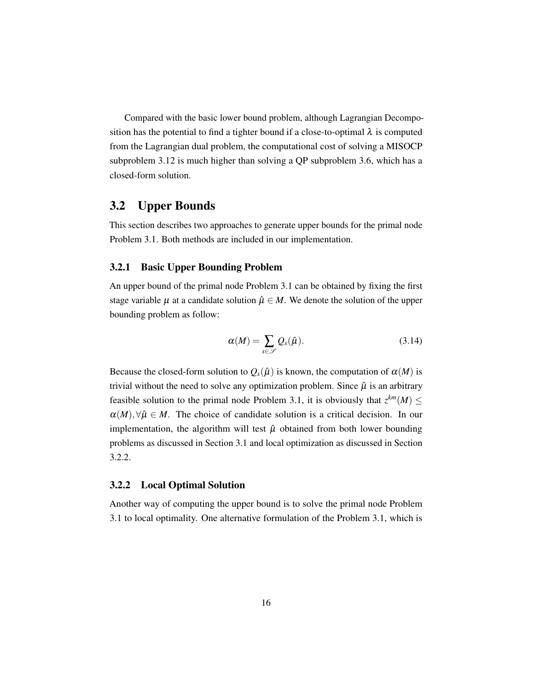Compared with the basic lower bound problem, although Lagrangian Decomposition has the potential to find a tighter bound if a close-to-optimal  $\lambda$  is computed from the Lagrangian dual problem, the computational cost of solving a MISOCP subproblem [3.12](#page-24-2) is much higher than solving a QP subproblem [3.6,](#page-21-3) which has a closed-form solution.

#### <span id="page-25-0"></span>3.2 Upper Bounds

This section describes two approaches to generate upper bounds for the primal node Problem [3.1.](#page-20-1) Both methods are included in our implementation.

#### <span id="page-25-1"></span>3.2.1 Basic Upper Bounding Problem

An upper bound of the primal node Problem [3.1](#page-20-1) can be obtained by fixing the first stage variable  $\mu$  at a candidate solution  $\hat{\mu} \in M$ . We denote the solution of the upper bounding problem as follow:

$$
\alpha(M) = \sum_{s \in \mathscr{S}} Q_s(\hat{\mu}). \tag{3.14}
$$

Because the closed-form solution to  $Q_s(\hat{\mu})$  is known, the computation of  $\alpha(M)$  is trivial without the need to solve any optimization problem. Since  $\hat{\mu}$  is an arbitrary feasible solution to the primal node Problem [3.1,](#page-20-1) it is obviously that  $z^{km}(M) \leq$  $\alpha(M)$ ,  $\forall \hat{\mu} \in M$ . The choice of candidate solution is a critical decision. In our implementation, the algorithm will test  $\hat{\mu}$  obtained from both lower bounding problems as discussed in Section [3.1](#page-21-0) and local optimization as discussed in Section [3.2.2.](#page-25-2)

#### <span id="page-25-2"></span>3.2.2 Local Optimal Solution

Another way of computing the upper bound is to solve the primal node Problem [3.1](#page-20-1) to local optimality. One alternative formulation of the Problem [3.1,](#page-20-1) which is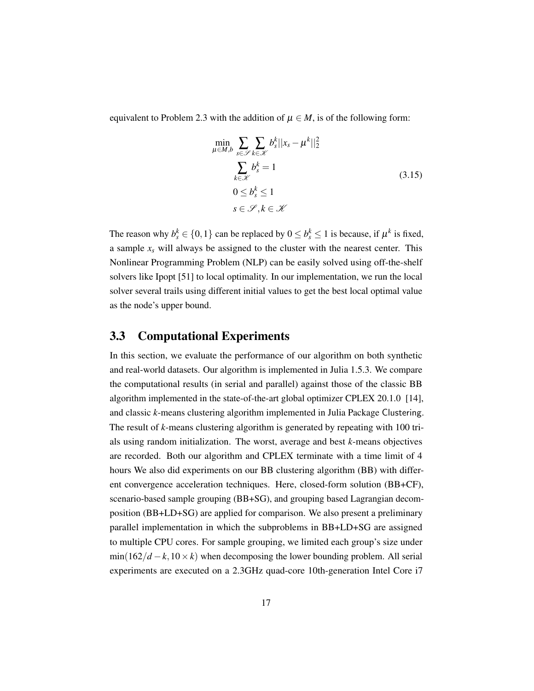<span id="page-26-1"></span>equivalent to Problem [2.3](#page-17-7) with the addition of  $\mu \in M$ , is of the following form:

$$
\min_{\mu \in M, b} \sum_{s \in \mathscr{S}} \sum_{k \in \mathscr{K}} b_s^k ||x_s - \mu^k||_2^2
$$
\n
$$
\sum_{k \in \mathscr{K}} b_s^k = 1
$$
\n
$$
0 \le b_s^k \le 1
$$
\n
$$
s \in \mathscr{S}, k \in \mathscr{K}
$$
\n(3.15)

The reason why  $b_s^k \in \{0, 1\}$  can be replaced by  $0 \le b_s^k \le 1$  is because, if  $\mu^k$  is fixed, a sample  $x_s$  will always be assigned to the cluster with the nearest center. This Nonlinear Programming Problem (NLP) can be easily solved using off-the-shelf solvers like Ipopt [\[51\]](#page-54-6) to local optimality. In our implementation, we run the local solver several trails using different initial values to get the best local optimal value as the node's upper bound.

#### <span id="page-26-0"></span>3.3 Computational Experiments

In this section, we evaluate the performance of our algorithm on both synthetic and real-world datasets. Our algorithm is implemented in Julia 1.5.3. We compare the computational results (in serial and parallel) against those of the classic BB algorithm implemented in the state-of-the-art global optimizer CPLEX 20.1.0 [\[14\]](#page-51-9), and classic *k*-means clustering algorithm implemented in Julia Package Clustering. The result of *k*-means clustering algorithm is generated by repeating with 100 trials using random initialization. The worst, average and best *k*-means objectives are recorded. Both our algorithm and CPLEX terminate with a time limit of 4 hours We also did experiments on our BB clustering algorithm (BB) with different convergence acceleration techniques. Here, closed-form solution (BB+CF), scenario-based sample grouping (BB+SG), and grouping based Lagrangian decomposition (BB+LD+SG) are applied for comparison. We also present a preliminary parallel implementation in which the subproblems in BB+LD+SG are assigned to multiple CPU cores. For sample grouping, we limited each group's size under  $min(162/d - k, 10 \times k)$  when decomposing the lower bounding problem. All serial experiments are executed on a 2.3GHz quad-core 10th-generation Intel Core i7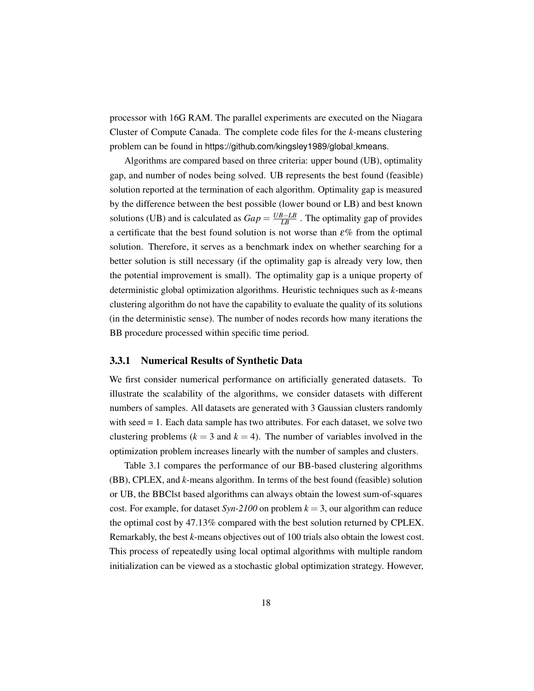processor with 16G RAM. The parallel experiments are executed on the Niagara Cluster of Compute Canada. The complete code files for the *k*-means clustering problem can be found in [https://github.com/kingsley1989/global](https://github.com/kingsley1989/global_kmeans) kmeans.

Algorithms are compared based on three criteria: upper bound (UB), optimality gap, and number of nodes being solved. UB represents the best found (feasible) solution reported at the termination of each algorithm. Optimality gap is measured by the difference between the best possible (lower bound or LB) and best known solutions (UB) and is calculated as  $Gap = \frac{UB - LB}{LB}$ . The optimality gap of provides a certificate that the best found solution is not worse than  $\varepsilon$ % from the optimal solution. Therefore, it serves as a benchmark index on whether searching for a better solution is still necessary (if the optimality gap is already very low, then the potential improvement is small). The optimality gap is a unique property of deterministic global optimization algorithms. Heuristic techniques such as *k*-means clustering algorithm do not have the capability to evaluate the quality of its solutions (in the deterministic sense). The number of nodes records how many iterations the BB procedure processed within specific time period.

#### <span id="page-27-0"></span>3.3.1 Numerical Results of Synthetic Data

We first consider numerical performance on artificially generated datasets. To illustrate the scalability of the algorithms, we consider datasets with different numbers of samples. All datasets are generated with 3 Gaussian clusters randomly with seed = 1. Each data sample has two attributes. For each dataset, we solve two clustering problems ( $k = 3$  and  $k = 4$ ). The number of variables involved in the optimization problem increases linearly with the number of samples and clusters.

Table [3.1](#page-28-0) compares the performance of our BB-based clustering algorithms (BB), CPLEX, and *k*-means algorithm. In terms of the best found (feasible) solution or UB, the BBClst based algorithms can always obtain the lowest sum-of-squares cost. For example, for dataset *Syn-2100* on problem  $k = 3$ , our algorithm can reduce the optimal cost by 47.13% compared with the best solution returned by CPLEX. Remarkably, the best *k*-means objectives out of 100 trials also obtain the lowest cost. This process of repeatedly using local optimal algorithms with multiple random initialization can be viewed as a stochastic global optimization strategy. However,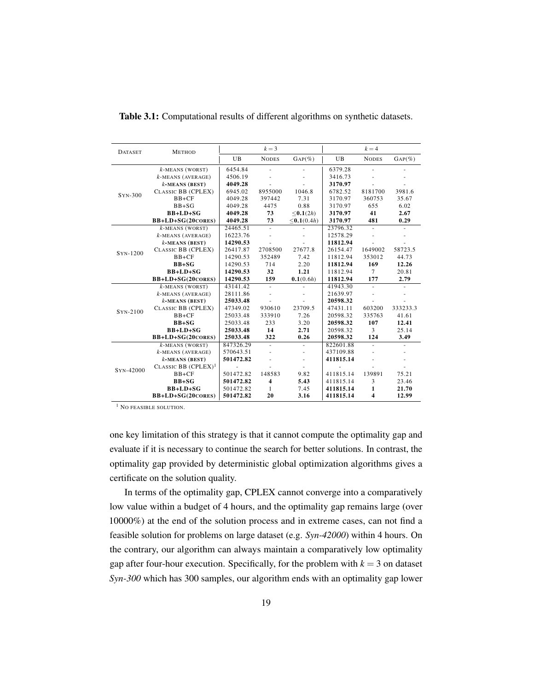| <b>DATASET</b> | <b>METHOD</b>          | $k=3$     |                |                              | $k = 4$        |                          |           |  |
|----------------|------------------------|-----------|----------------|------------------------------|----------------|--------------------------|-----------|--|
|                |                        | UB        | <b>NODES</b>   | $GAP(\%)$                    | $_{\text{UB}}$ | <b>NODES</b>             | $GAP(\%)$ |  |
|                | $k$ -MEANS (WORST)     | 6454.84   |                |                              | 6379.28        | ä,                       |           |  |
|                | $k$ -MEANS (AVERAGE)   | 4506.19   |                |                              | 3416.73        |                          |           |  |
|                | $k$ -MEANS (BEST)      | 4049.28   |                |                              | 3170.97        |                          |           |  |
|                | CLASSIC BB (CPLEX)     | 6945.02   | 8955000        | 1046.8                       | 6782.52        | 8181700                  | 3981.6    |  |
| $SYN-300$      | $BB+CF$                | 4049.28   | 397442         | 7.31                         | 3170.97        | 360753                   | 35.67     |  |
|                | $BB+SG$                | 4049.28   | 4475           | 0.88                         | 3170.97        | 655                      | 6.02      |  |
|                | $BB+LD+SG$             | 4049.28   | 73             | $\leq 0.1(2h)$               | 3170.97        | 41                       | 2.67      |  |
|                | BB+LD+SG(20CORES)      | 4049.28   | 73             | $\leq 0.1(0.4h)$             | 3170.97        | 481                      | 0.29      |  |
|                | $k$ -MEANS (WORST)     | 24465.51  |                |                              | 23796.32       | $\overline{\phantom{a}}$ |           |  |
|                | $k$ -MEANS (AVERAGE)   | 16223.76  |                |                              | 12578.29       |                          |           |  |
|                | $k$ -MEANS (BEST)      | 14290.53  |                |                              | 11812.94       |                          |           |  |
| SYN-1200       | CLASSIC BB (CPLEX)     | 26417.87  | 2708500        | 27677.8                      | 26154.47       | 1649002                  | 58723.5   |  |
|                | $BB+CF$                | 14290.53  | 352489         | 7.42                         | 11812.94       | 353012                   | 44.73     |  |
|                | $BB+SG$                | 14290.53  | 714            | 2.20                         | 11812.94       | 169                      | 12.26     |  |
|                | $BB+LD+SG$             | 14290.53  | 32             | 1.21                         | 11812.94       | $\tau$                   | 20.81     |  |
|                | BB+LD+SG(20CORES)      | 14290.53  | 159            | 0.1(0.6h)                    | 11812.94       | 177                      | 2.79      |  |
|                | $k$ -MEANS (WORST)     | 43141.42  | $\blacksquare$ |                              | 41943.30       | ÷.                       |           |  |
|                | $k$ -MEANS (AVERAGE)   | 28111.86  |                |                              | 21639.97       |                          |           |  |
|                | $k$ -MEANS (BEST)      | 25033.48  |                |                              | 20598.32       |                          |           |  |
| SYN-2100       | CLASSIC BB (CPLEX)     | 47349.02  | 930610         | 23709.5                      | 47431.11       | 603200                   | 333233.3  |  |
|                | $BB+CF$                | 25033.48  | 333910         | 7.26                         | 20598.32       | 335763                   | 41.61     |  |
|                | $BB+SG$                | 25033.48  | 233            | 3.20                         | 20598.32       | 107                      | 12.41     |  |
|                | $BB+LD+SG$             | 25033.48  | 14             | 2.71                         | 20598.32       | $\overline{3}$           | 25.14     |  |
|                | BB+LD+SG(20CORES)      | 25033.48  | 322            | 0.26                         | 20598.32       | 124                      | 3.49      |  |
|                | $k$ -MEANS (WORST)     | 847326.29 | $\sim$         | $\qquad \qquad \blacksquare$ | 822601.88      | ÷.                       |           |  |
|                | $k$ -MEANS (AVERAGE)   | 570643.51 |                |                              | 437109.88      |                          |           |  |
|                | $k$ -MEANS (BEST)      | 501472.82 |                | ÷,                           | 411815.14      |                          |           |  |
| SYN-42000      | CLASSIC BB $(CPLEX)^1$ |           |                |                              |                |                          |           |  |
|                | $BB+CF$                | 501472.82 | 148583         | 9.82                         | 411815.14      | 139891                   | 75.21     |  |
|                | $BB+SG$                | 501472.82 | 4              | 5.43                         | 411815.14      | 3                        | 23.46     |  |
|                | $BB+LD+SG$             | 501472.82 | 1              | 7.45                         | 411815.14      | 1                        | 21.70     |  |
|                | BB+LD+SG(20CORES)      | 501472.82 | 20             | 3.16                         | 411815.14      | $\overline{\mathbf{4}}$  | 12.99     |  |

<span id="page-28-0"></span>Table 3.1: Computational results of different algorithms on synthetic datasets.

<sup>1</sup> NO FEASIBLE SOLUTION.

one key limitation of this strategy is that it cannot compute the optimality gap and evaluate if it is necessary to continue the search for better solutions. In contrast, the optimality gap provided by deterministic global optimization algorithms gives a certificate on the solution quality.

In terms of the optimality gap, CPLEX cannot converge into a comparatively low value within a budget of 4 hours, and the optimality gap remains large (over 10000%) at the end of the solution process and in extreme cases, can not find a feasible solution for problems on large dataset (e.g. *Syn-42000*) within 4 hours. On the contrary, our algorithm can always maintain a comparatively low optimality gap after four-hour execution. Specifically, for the problem with  $k = 3$  on dataset *Syn-300* which has 300 samples, our algorithm ends with an optimality gap lower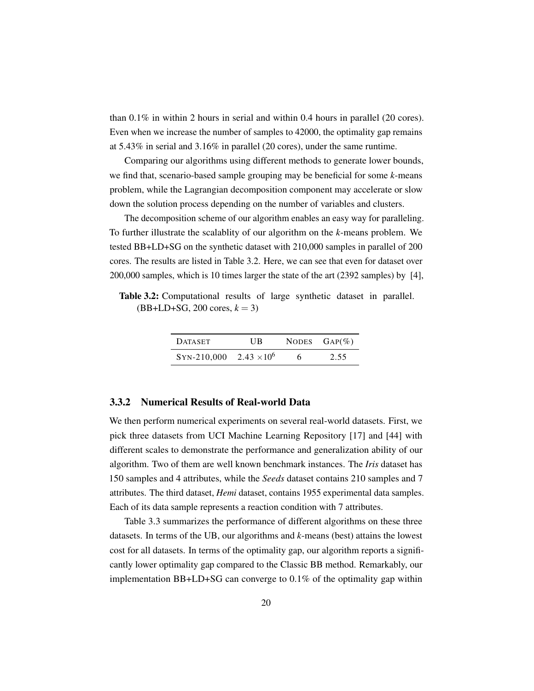<span id="page-29-2"></span>than 0.1% in within 2 hours in serial and within 0.4 hours in parallel (20 cores). Even when we increase the number of samples to 42000, the optimality gap remains at 5.43% in serial and 3.16% in parallel (20 cores), under the same runtime.

Comparing our algorithms using different methods to generate lower bounds, we find that, scenario-based sample grouping may be beneficial for some *k*-means problem, while the Lagrangian decomposition component may accelerate or slow down the solution process depending on the number of variables and clusters.

The decomposition scheme of our algorithm enables an easy way for paralleling. To further illustrate the scalablity of our algorithm on the *k*-means problem. We tested BB+LD+SG on the synthetic dataset with 210,000 samples in parallel of 200 cores. The results are listed in Table [3.2.](#page-29-1) Here, we can see that even for dataset over 200,000 samples, which is 10 times larger the state of the art (2392 samples) by [\[4\]](#page-50-1),

<span id="page-29-1"></span>Table 3.2: Computational results of large synthetic dataset in parallel.  $(BB+LD+SG, 200 \text{ cores}, k = 3)$ 

| <b>DATASET</b>                 | UB | NODES $\text{GAP}(\%)$ |  |
|--------------------------------|----|------------------------|--|
| SYN-210,000 2.43 $\times 10^6$ |    | 2.55                   |  |

#### <span id="page-29-0"></span>3.3.2 Numerical Results of Real-world Data

We then perform numerical experiments on several real-world datasets. First, we pick three datasets from UCI Machine Learning Repository [\[17\]](#page-51-10) and [\[44\]](#page-53-11) with different scales to demonstrate the performance and generalization ability of our algorithm. Two of them are well known benchmark instances. The *Iris* dataset has 150 samples and 4 attributes, while the *Seeds* dataset contains 210 samples and 7 attributes. The third dataset, *Hemi* dataset, contains 1955 experimental data samples. Each of its data sample represents a reaction condition with 7 attributes.

Table [3.3](#page-30-0) summarizes the performance of different algorithms on these three datasets. In terms of the UB, our algorithms and *k*-means (best) attains the lowest cost for all datasets. In terms of the optimality gap, our algorithm reports a significantly lower optimality gap compared to the Classic BB method. Remarkably, our implementation BB+LD+SG can converge to  $0.1\%$  of the optimality gap within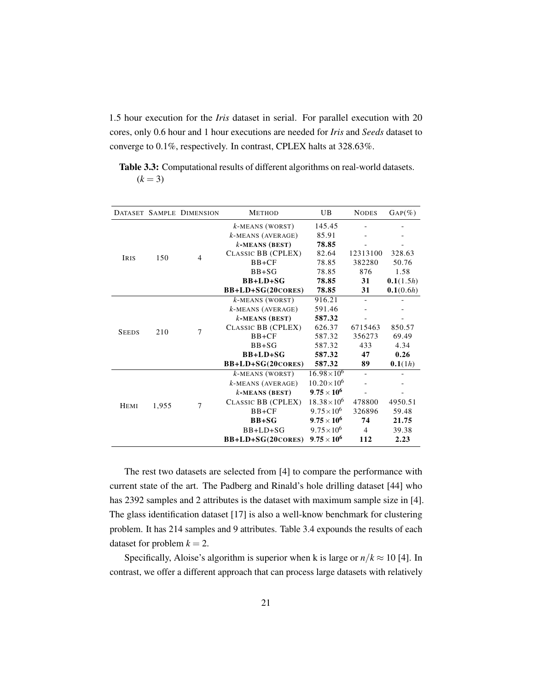<span id="page-30-1"></span>1.5 hour execution for the *Iris* dataset in serial. For parallel execution with 20 cores, only 0.6 hour and 1 hour executions are needed for *Iris* and *Seeds* dataset to converge to 0.1%, respectively. In contrast, CPLEX halts at 328.63%.

<span id="page-30-0"></span>Table 3.3: Computational results of different algorithms on real-world datasets.  $(k = 3)$ 

|              |       | DATASET SAMPLE DIMENSION | <b>METHOD</b>        | <b>UB</b>            | <b>NODES</b>   | $\text{GAP}(\%)$ |
|--------------|-------|--------------------------|----------------------|----------------------|----------------|------------------|
|              |       |                          | $k$ -MEANS (WORST)   | 145.45               |                |                  |
|              |       |                          | $k$ -MEANS (AVERAGE) | 85.91                |                |                  |
|              |       |                          | $k$ -MEANS (BEST)    | 78.85                |                |                  |
| <b>IRIS</b>  | 150   | $\overline{4}$           | CLASSIC BB (CPLEX)   | 82.64                | 12313100       | 328.63           |
|              |       |                          | $BB+CF$              | 78.85                | 382280         | 50.76            |
|              |       |                          | $BB+SG$              | 78.85                | 876            | 1.58             |
|              |       |                          | $BB+LD+SG$           | 78.85                | 31             | 0.1(1.5h)        |
|              |       |                          | BB+LD+SG(20CORES)    | 78.85                | 31             | 0.1(0.6h)        |
|              |       | 7                        | $k$ -MEANS (WORST)   | 916.21               |                |                  |
|              |       |                          | $k$ -MEANS (AVERAGE) | 591.46               |                |                  |
|              | 210   |                          | $k$ -MEANS (BEST)    | 587.32               |                |                  |
| <b>SEEDS</b> |       |                          | CLASSIC BB (CPLEX)   | 626.37               | 6715463        | 850.57           |
|              |       |                          | $BB+CF$              | 587.32               | 356273         | 69.49            |
|              |       |                          | $BB+SG$              | 587.32               | 433            | 4.34             |
|              |       |                          | $BB+LD+SG$           | 587.32               | 47             | 0.26             |
|              |       |                          | BB+LD+SG(20CORES)    | 587.32               | 89             | 0.1(1h)          |
|              |       |                          | $k$ -MEANS (WORST)   | $16.98\times10^{6}$  |                |                  |
|              |       |                          | k-MEANS (AVERAGE)    | $10.20\times10^{6}$  |                |                  |
|              |       |                          | $k$ -MEANS (BEST)    | $9.75 \times 10^{6}$ |                |                  |
| <b>HEMI</b>  | 1,955 | $\overline{7}$           | CLASSIC BB (CPLEX)   | $18.38\times10^{6}$  | 478800         | 4950.51          |
|              |       |                          | $BB+CF$              | $9.75 \times 10^{6}$ | 326896         | 59.48            |
|              |       |                          | $BB+SG$              | $9.75 \times 10^{6}$ | 74             | 21.75            |
|              |       |                          | $BB+LD+SG$           | $9.75\times10^{6}$   | $\overline{4}$ | 39.38            |
|              |       |                          | BB+LD+SG(20CORES)    | $9.75 \times 10^{6}$ | 112            | 2.23             |

The rest two datasets are selected from [\[4\]](#page-50-1) to compare the performance with current state of the art. The Padberg and Rinald's hole drilling dataset [\[44\]](#page-53-11) who has 2392 samples and 2 attributes is the dataset with maximum sample size in [\[4\]](#page-50-1). The glass identification dataset [\[17\]](#page-51-10) is also a well-know benchmark for clustering problem. It has 214 samples and 9 attributes. Table [3.4](#page-31-0) expounds the results of each dataset for problem  $k = 2$ .

Specifically, Aloise's algorithm is superior when k is large or  $n/k \approx 10$  [\[4\]](#page-50-1). In contrast, we offer a different approach that can process large datasets with relatively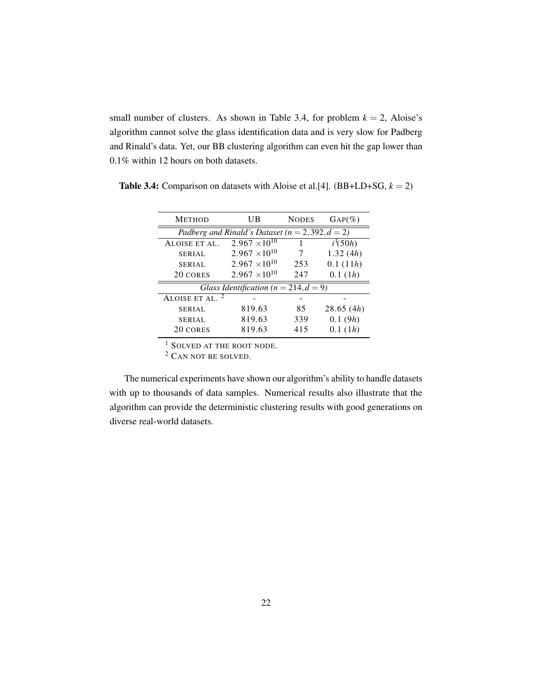<span id="page-31-1"></span>small number of clusters. As shown in Table [3.4,](#page-31-0) for problem  $k = 2$ , Aloise's algorithm cannot solve the glass identification data and is very slow for Padberg and Rinald's data. Yet, our BB clustering algorithm can even hit the gap lower than 0.1% within 12 hours on both datasets.

| <b>METHOD</b>                                       | UB                                        | <b>NODES</b> | $\text{GAP}(\%)$ |  |  |  |  |  |
|-----------------------------------------------------|-------------------------------------------|--------------|------------------|--|--|--|--|--|
| Padberg and Rinald's Dataset ( $n = 2,392, d = 2$ ) |                                           |              |                  |  |  |  |  |  |
| ALOISE ET AL.                                       | $2.967 \times 10^{10}$                    |              | $i^{1}(50h)$     |  |  |  |  |  |
| <b>SERIAL</b>                                       | $2.967 \times 10^{10}$                    | 7            | 1.32(4h)         |  |  |  |  |  |
| <b>SERIAL</b>                                       | $2.967 \times 10^{10}$                    | 253          | 0.1(11h)         |  |  |  |  |  |
| 20 CORES                                            | $2.967 \times 10^{10}$                    | 247          | 0.1(1h)          |  |  |  |  |  |
|                                                     | Glass Identification ( $n = 214, d = 9$ ) |              |                  |  |  |  |  |  |
| ALOISE ET AL.                                       |                                           |              |                  |  |  |  |  |  |
| <b>SERIAL</b>                                       | 819.63                                    | 85           | 28.65(4h)        |  |  |  |  |  |
| <b>SERIAL</b>                                       | 819.63                                    | 339          | 0.1(9h)          |  |  |  |  |  |
| 20 CORES                                            | 819.63                                    | 415          | 0.1(1h)          |  |  |  |  |  |
|                                                     |                                           |              |                  |  |  |  |  |  |

<span id="page-31-0"></span>**Table 3.4:** Comparison on datasets with Aloise et al.[\[4\]](#page-50-1). (BB+LD+SG,  $k = 2$ )

<sup>1</sup> SOLVED AT THE ROOT NODE.

<sup>2</sup> CAN NOT BE SOLVED.

The numerical experiments have shown our algorithm's ability to handle datasets with up to thousands of data samples. Numerical results also illustrate that the algorithm can provide the deterministic clustering results with good generations on diverse real-world datasets.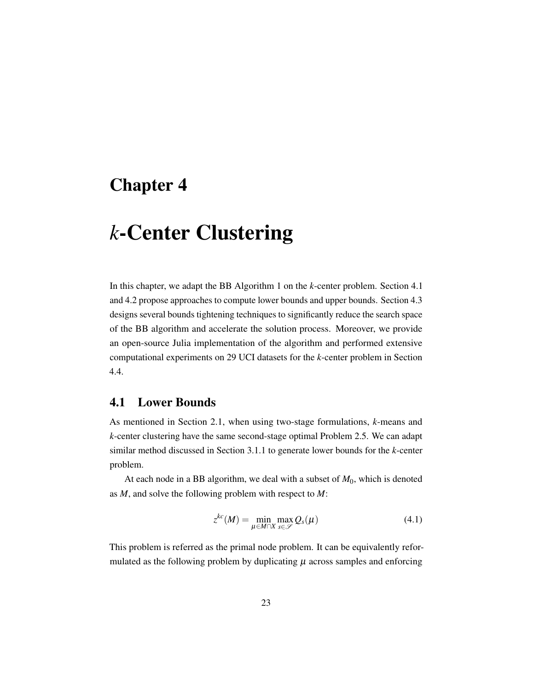### <span id="page-32-0"></span>Chapter 4

## *k*-Center Clustering

In this chapter, we adapt the BB Algorithm [1](#page-19-1) on the *k*-center problem. Section [4.1](#page-32-1) and [4.2](#page-34-0) propose approaches to compute lower bounds and upper bounds. Section [4.3](#page-34-1) designs several bounds tightening techniques to significantly reduce the search space of the BB algorithm and accelerate the solution process. Moreover, we provide an open-source Julia implementation of the algorithm and performed extensive computational experiments on 29 UCI datasets for the *k*-center problem in Section [4.4.](#page-39-0)

#### <span id="page-32-1"></span>4.1 Lower Bounds

As mentioned in Section [2.1,](#page-15-1) when using two-stage formulations, *k*-means and *k*-center clustering have the same second-stage optimal Problem [2.5.](#page-18-3) We can adapt similar method discussed in Section [3.1.1](#page-21-1) to generate lower bounds for the *k*-center problem.

At each node in a BB algorithm, we deal with a subset of  $M_0$ , which is denoted as *M*, and solve the following problem with respect to *M*:

$$
z^{kc}(M) = \min_{\mu \in M \cap X} \max_{s \in \mathscr{S}} Q_s(\mu)
$$
\n(4.1)

This problem is referred as the primal node problem. It can be equivalently reformulated as the following problem by duplicating  $\mu$  across samples and enforcing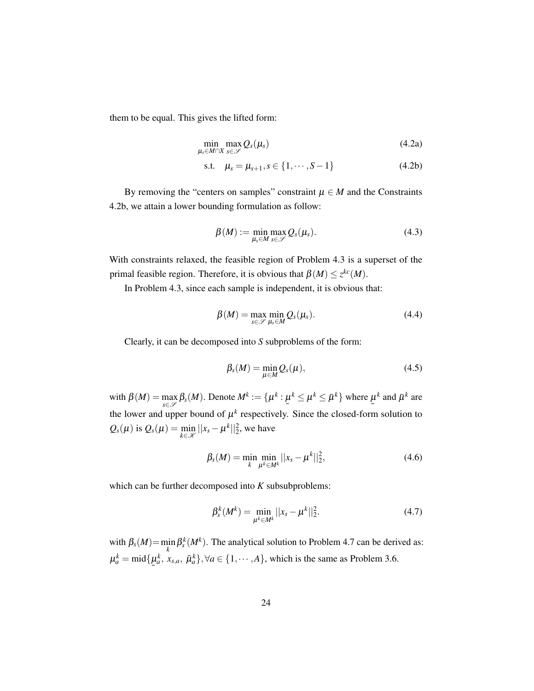them to be equal. This gives the lifted form:

$$
\min_{\mu_s \in M \cap X} \max_{s \in \mathscr{S}} Q_s(\mu_s) \tag{4.2a}
$$

<span id="page-33-0"></span>s.t. 
$$
\mu_s = \mu_{s+1}, s \in \{1, \cdots, S-1\}
$$
 (4.2b)

By removing the "centers on samples" constraint  $\mu \in M$  and the Constraints [4.2b,](#page-33-0) we attain a lower bounding formulation as follow:

<span id="page-33-1"></span>
$$
\beta(M) := \min_{\mu_s \in M} \max_{s \in \mathscr{S}} Q_s(\mu_s). \tag{4.3}
$$

With constraints relaxed, the feasible region of Problem [4.3](#page-33-1) is a superset of the primal feasible region. Therefore, it is obvious that  $\beta(M) \leq z^{kc}(M)$ .

In Problem [4.3,](#page-33-1) since each sample is independent, it is obvious that:

$$
\beta(M) = \max_{s \in \mathcal{S}} \min_{\mu_s \in M} Q_s(\mu_s). \tag{4.4}
$$

Clearly, it can be decomposed into *S* subproblems of the form:

$$
\beta_s(M) = \min_{\mu \in M} Q_s(\mu), \qquad (4.5)
$$

with  $\beta(M) = \max$ *s*∈S  $\beta_s(M)$ . Denote  $M^k := \{ \mu^k :$ ¯  $\mu^k \leq \mu^k \leq \bar{\mu}^k$  where  $\mu$  $\mu^k$  and  $\bar{\mu}^k$  are the lower and upper bound of  $\mu^k$  respectively. Since the closed-form solution to  $Q_s(\mu)$  is  $Q_s(\mu) = \min_{\mu \in \mathcal{M}}$  $\min_{k \in \mathcal{K}} ||x_s - \mu^k||_2^2$ , we have

$$
\beta_s(M) = \min_k \min_{\mu^k \in M^k} ||x_s - \mu^k||_2^2,
$$
\n(4.6)

which can be further decomposed into *K* subsubproblems:

<span id="page-33-2"></span>
$$
\beta_s^k(M^k) = \min_{\mu^k \in M^k} ||x_s - \mu^k||_2^2.
$$
\n(4.7)

with  $\beta_s(M) = \min_k \beta_s^k(M^k)$ . The analytical solution to Problem [4.7](#page-33-2) can be derived as:  $\mu_a^k = \text{mid}\{\underline{p}\}$  $\mu_a^k$ ,  $x_{s,a}$ ,  $\bar{\mu}_a^k$ },  $\forall a \in \{1, \dots, A\}$ , which is the same as Problem [3.6.](#page-21-3)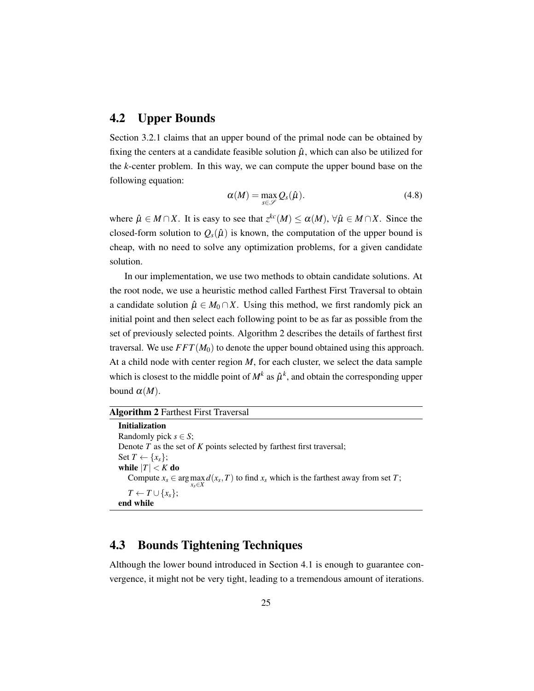#### <span id="page-34-0"></span>4.2 Upper Bounds

Section [3.2.1](#page-25-1) claims that an upper bound of the primal node can be obtained by fixing the centers at a candidate feasible solution  $\hat{\mu}$ , which can also be utilized for the *k*-center problem. In this way, we can compute the upper bound base on the following equation:

$$
\alpha(M) = \max_{s \in \mathscr{S}} Q_s(\hat{\mu}). \tag{4.8}
$$

where  $\hat{\mu} \in M \cap X$ . It is easy to see that  $z^{kc}(M) \leq \alpha(M)$ ,  $\forall \hat{\mu} \in M \cap X$ . Since the closed-form solution to  $Q_s(\hat{\mu})$  is known, the computation of the upper bound is cheap, with no need to solve any optimization problems, for a given candidate solution.

In our implementation, we use two methods to obtain candidate solutions. At the root node, we use a heuristic method called Farthest First Traversal to obtain a candidate solution  $\hat{\mu} \in M_0 \cap X$ . Using this method, we first randomly pick an initial point and then select each following point to be as far as possible from the set of previously selected points. Algorithm [2](#page-34-2) describes the details of farthest first traversal. We use  $FFT(M_0)$  to denote the upper bound obtained using this approach. At a child node with center region *M*, for each cluster, we select the data sample which is closest to the middle point of  $M^k$  as  $\hat{\mu}^k$ , and obtain the corresponding upper bound  $\alpha(M)$ .

#### <span id="page-34-2"></span>Algorithm 2 Farthest First Traversal

Initialization Randomly pick  $s \in S$ ; Denote *T* as the set of *K* points selected by farthest first traversal; Set  $T \leftarrow \{x_s\};$ while  $|T| < K$  do Compute  $x_s \in \arg \max_{x \in X} d(x_s, T)$  to find  $x_s$  which is the farthest away from set *T*; *xs*∈*X*  $T \leftarrow T \cup \{x_s\};$ end while

#### <span id="page-34-1"></span>4.3 Bounds Tightening Techniques

Although the lower bound introduced in Section [4.1](#page-32-1) is enough to guarantee convergence, it might not be very tight, leading to a tremendous amount of iterations.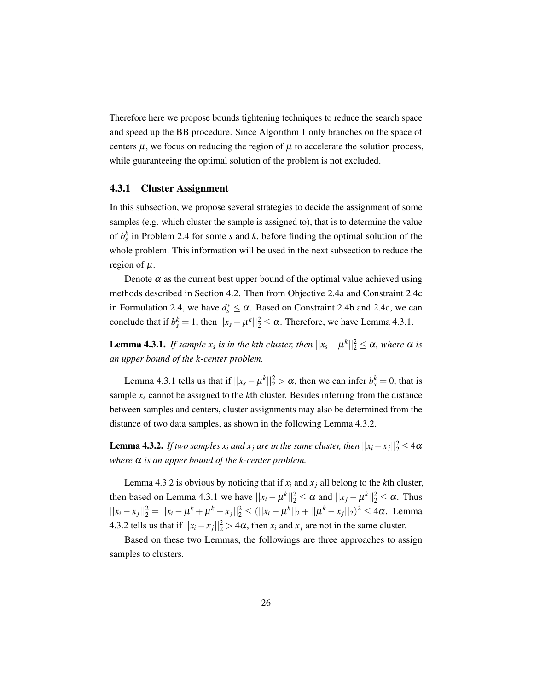Therefore here we propose bounds tightening techniques to reduce the search space and speed up the BB procedure. Since Algorithm [1](#page-19-1) only branches on the space of centers  $\mu$ , we focus on reducing the region of  $\mu$  to accelerate the solution process, while guaranteeing the optimal solution of the problem is not excluded.

#### <span id="page-35-0"></span>4.3.1 Cluster Assignment

In this subsection, we propose several strategies to decide the assignment of some samples (e.g. which cluster the sample is assigned to), that is to determine the value of  $b_s^k$  in Problem [2.4](#page-17-8) for some *s* and *k*, before finding the optimal solution of the whole problem. This information will be used in the next subsection to reduce the region of  $\mu$ .

Denote  $\alpha$  as the current best upper bound of the optimal value achieved using methods described in Section [4.2.](#page-34-0) Then from Objective [2.4a](#page-17-9) and Constraint [2.4c](#page-17-2) in Formulation [2.4,](#page-17-8) we have  $d_s^* \leq \alpha$ . Based on Constraint [2.4b](#page-17-10) and [2.4c,](#page-17-2) we can conclude that if  $b_s^k = 1$ , then  $||x_s - \mu^k||_2^2 \le \alpha$ . Therefore, we have Lemma [4.3.1.](#page-35-1)

<span id="page-35-1"></span>**Lemma 4.3.1.** *If sample*  $x_s$  *is in the kth cluster, then*  $||x_s - \mu^k||_2^2 \le \alpha$ *, where*  $\alpha$  *is an upper bound of the k-center problem.*

Lemma [4.3.1](#page-35-1) tells us that if  $||x_s - \mu^k||_2^2 > \alpha$ , then we can infer  $b_s^k = 0$ , that is sample  $x<sub>s</sub>$  cannot be assigned to the *k*th cluster. Besides inferring from the distance between samples and centers, cluster assignments may also be determined from the distance of two data samples, as shown in the following Lemma [4.3.2.](#page-35-2)

<span id="page-35-2"></span>**Lemma 4.3.2.** *If two samples*  $x_i$  *and*  $x_j$  *are in the same cluster, then*  $||x_i - x_j||_2^2 \leq 4\alpha$ *where* α *is an upper bound of the k-center problem.*

Lemma [4.3.2](#page-35-2) is obvious by noticing that if  $x_i$  and  $x_j$  all belong to the *k*th cluster, then based on Lemma [4.3.1](#page-35-1) we have  $||x_i - \mu^k||_2^2 \le \alpha$  and  $||x_j - \mu^k||_2^2 \le \alpha$ . Thus  $||x_i - x_j||_2^2 = ||x_i - \mu^k + \mu^k - x_j||_2^2 \le (||x_i - \mu^k||_2 + ||\mu^k - x_j||_2)^2 \le 4\alpha$ . Lemma [4.3.2](#page-35-2) tells us that if  $||x_i - x_j||_2^2 > 4\alpha$ , then  $x_i$  and  $x_j$  are not in the same cluster.

Based on these two Lemmas, the followings are three approaches to assign samples to clusters.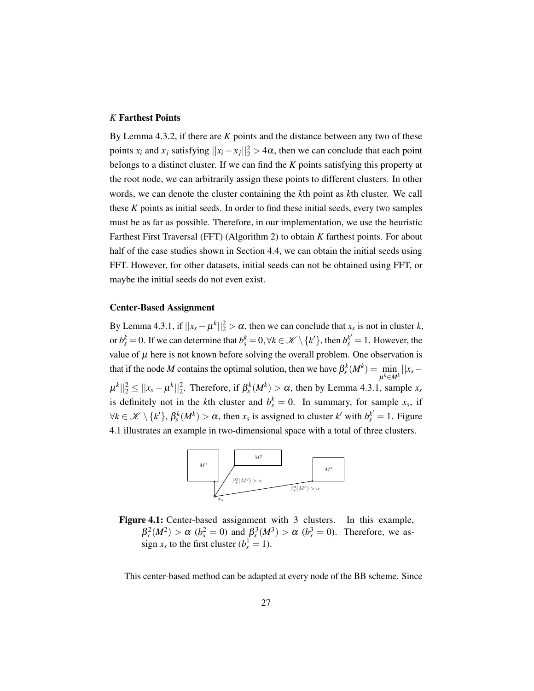#### <span id="page-36-1"></span>*K* Farthest Points

By Lemma [4.3.2,](#page-35-2) if there are *K* points and the distance between any two of these points *x<sub>i</sub>* and *x<sub>j</sub>* satisfying  $||x_i - x_j||_2^2 > 4\alpha$ , then we can conclude that each point belongs to a distinct cluster. If we can find the *K* points satisfying this property at the root node, we can arbitrarily assign these points to different clusters. In other words, we can denote the cluster containing the *k*th point as *k*th cluster. We call these *K* points as initial seeds. In order to find these initial seeds, every two samples must be as far as possible. Therefore, in our implementation, we use the heuristic Farthest First Traversal (FFT) (Algorithm [2\)](#page-34-2) to obtain *K* farthest points. For about half of the case studies shown in Section [4.4,](#page-39-0) we can obtain the initial seeds using FFT. However, for other datasets, initial seeds can not be obtained using FFT, or maybe the initial seeds do not even exist.

#### Center-Based Assignment

By Lemma [4.3.1,](#page-35-1) if  $||x_s - \mu^k||_2^2 > \alpha$ , then we can conclude that  $x_s$  is not in cluster  $k$ , or  $b_s^k = 0$ . If we can determine that  $b_s^k = 0, \forall k \in \mathcal{K} \setminus \{k'\}$ , then  $b_s^{k'} = 1$ . However, the value of  $\mu$  here is not known before solving the overall problem. One observation is that if the node *M* contains the optimal solution, then we have  $\beta_s^k(M^k) = \min_{k \geq 1}$  $\min_{\mu^k \in M^k} ||x_s |\mu^k||_2^2 \le ||x_s - \mu^k||_2^2$ . Therefore, if  $\beta_s^k(M^k) > \alpha$ , then by Lemma [4.3.1,](#page-35-1) sample  $x_s$ is definitely not in the *k*th cluster and  $b_s^k = 0$ . In summary, for sample  $x_s$ , if  $\forall k \in \mathcal{K} \setminus \{k'\}, \beta_s^k(M^k) > \alpha$ , then  $x_s$  is assigned to cluster  $k'$  with  $b_s^{k'} = 1$ . Figure [4.1](#page-36-0) illustrates an example in two-dimensional space with a total of three clusters.

<span id="page-36-0"></span>

Figure 4.1: Center-based assignment with 3 clusters. In this example,  $\beta_s^2(M^2) > \alpha$  ( $b_s^2 = 0$ ) and  $\beta_s^3(M^3) > \alpha$  ( $b_s^3 = 0$ ). Therefore, we assign  $x_s$  to the first cluster  $(b_s^1 = 1)$ .

This center-based method can be adapted at every node of the BB scheme. Since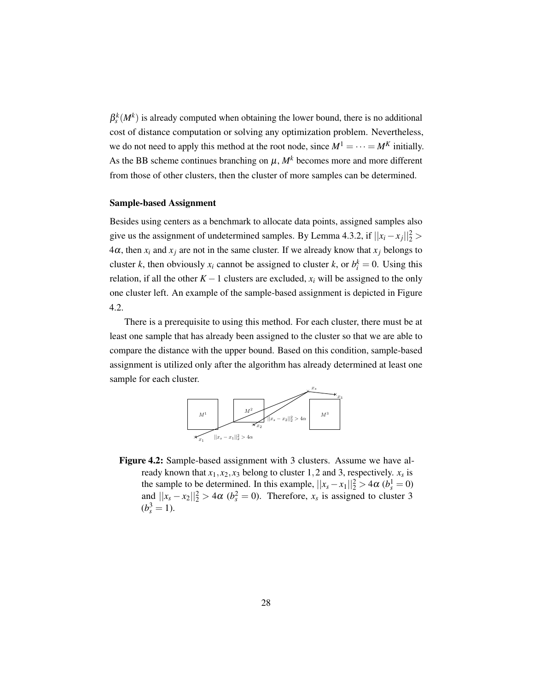$\beta_s^k(M^k)$  is already computed when obtaining the lower bound, there is no additional cost of distance computation or solving any optimization problem. Nevertheless, we do not need to apply this method at the root node, since  $M^1 = \cdots = M^K$  initially. As the BB scheme continues branching on  $\mu$ ,  $M^k$  becomes more and more different from those of other clusters, then the cluster of more samples can be determined.

#### Sample-based Assignment

Besides using centers as a benchmark to allocate data points, assigned samples also give us the assignment of undetermined samples. By Lemma [4.3.2,](#page-35-2) if  $||x_i - x_j||_2^2$  $4\alpha$ , then  $x_i$  and  $x_j$  are not in the same cluster. If we already know that  $x_j$  belongs to cluster *k*, then obviously  $x_i$  cannot be assigned to cluster *k*, or  $b_i^k = 0$ . Using this relation, if all the other  $K - 1$  clusters are excluded,  $x_i$  will be assigned to the only one cluster left. An example of the sample-based assignment is depicted in Figure [4.2.](#page-37-0)

There is a prerequisite to using this method. For each cluster, there must be at least one sample that has already been assigned to the cluster so that we are able to compare the distance with the upper bound. Based on this condition, sample-based assignment is utilized only after the algorithm has already determined at least one sample for each cluster.



<span id="page-37-0"></span>Figure 4.2: Sample-based assignment with 3 clusters. Assume we have already known that  $x_1, x_2, x_3$  belong to cluster 1, 2 and 3, respectively.  $x_s$  is the sample to be determined. In this example,  $||x_s - x_1||_2^2 > 4\alpha$  ( $b_s^1 = 0$ ) and  $||x_s - x_2||_2^2 > 4\alpha$  ( $b_s^2 = 0$ ). Therefore,  $x_s$  is assigned to cluster 3  $(b_s^3 = 1).$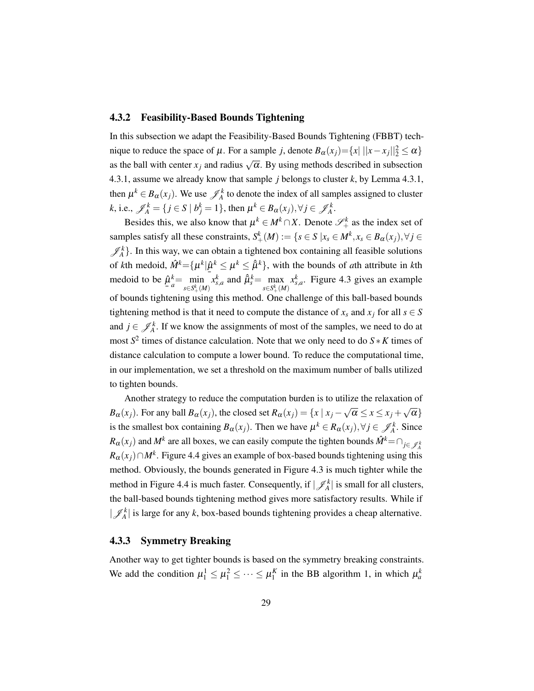#### <span id="page-38-0"></span>4.3.2 Feasibility-Based Bounds Tightening

In this subsection we adapt the Feasibility-Based Bounds Tightening (FBBT) technique to reduce the space of  $\mu$ . For a sample *j*, denote  $B_{\alpha}(x_j) = \{x \mid ||x - x_j||_2^2 \le \alpha\}$ as the ball with center  $x_j$  and radius  $\sqrt{\alpha}$ . By using methods described in subsection [4.3.1,](#page-35-0) assume we already know that sample *j* belongs to cluster *k*, by Lemma [4.3.1,](#page-35-1) then  $\mu^k \in B_{\alpha}(x_j)$ . We use  $\mathcal{J}_A^k$  to denote the index of all samples assigned to cluster  $k$ , i.e.,  $\mathscr{J}_A^k = \{ j \in S \mid b_j^k = 1 \}$ , then  $\mu^k \in B_\alpha(x_j), \forall j \in \mathscr{J}_A^k$ .

Besides this, we also know that  $\mu^k \in M^k \cap X$ . Denote  $\mathscr{S}_+^k$  as the index set of samples satisfy all these constraints,  $S^k_+(M) := \{ s \in S \mid x_s \in M^k, x_s \in B_\alpha(x_j), \forall j \in$  $\mathscr{J}_A^k$ . In this way, we can obtain a tightened box containing all feasible solutions of *k*th medoid,  $\hat{M}^k = {\mu^k | \hat{\mu}^k \leq \mu^k \leq \hat{\mu}^k}$ , with the bounds of *a*th attribute in *k*th medoid to be  $\hat{\mu}_{\hat{e}}^k = \min$ ¯  $\hat{\mu}^k$  $a^k = \min_{c \subset S^k} a$  $s∈S^k_+(M)$  $x_{s,a}^k$  and  $\hat{\mu}_s^k = \max_{s \in \mathcal{S}}$ *s*∈*S*<sup>*k*</sup><sub>+</sub>(*M*)  $x_{s,a}^k$ . Figure [4.3](#page-39-1) gives an example of bounds tightening using this method. One challenge of this ball-based bounds tightening method is that it need to compute the distance of  $x_s$  and  $x_j$  for all  $s \in S$ and  $j \in \mathcal{J}_A^k$ . If we know the assignments of most of the samples, we need to do at most  $S^2$  times of distance calculation. Note that we only need to do  $S * K$  times of distance calculation to compute a lower bound. To reduce the computational time, in our implementation, we set a threshold on the maximum number of balls utilized to tighten bounds.

Another strategy to reduce the computation burden is to utilize the relaxation of *B*<sub>α</sub>(*x<sub>j</sub>*). For any ball *B*<sub>α</sub>(*x<sub>j</sub>*), the closed set *R*<sub>α</sub>(*x<sub>j</sub>*) = {*x* | *x<sub>j</sub>* −  $\sqrt{\alpha}$  ≤ *x* ≤ *x<sub>j</sub>* +  $\sqrt{\alpha}$ } is the smallest box containing  $B_{\alpha}(x_j)$ . Then we have  $\mu^k \in R_{\alpha}(x_j)$ ,  $\forall j \in \mathcal{J}_A^k$ . Since  $R_{\alpha}(x_j)$  and  $M^k$  are all boxes, we can easily compute the tighten bounds  $\hat{M}^k$  =  $\cap_{j \in \mathcal{J}^k_A}$  $R_{\alpha}(x_j) \cap M^k$ . Figure [4.4](#page-40-0) gives an example of box-based bounds tightening using this method. Obviously, the bounds generated in Figure [4.3](#page-39-1) is much tighter while the method in Figure [4.4](#page-40-0) is much faster. Consequently, if  $|\mathscr{J}_A^k|$  is small for all clusters, the ball-based bounds tightening method gives more satisfactory results. While if  $|\mathscr{J}_A^k|$  is large for any *k*, box-based bounds tightening provides a cheap alternative.

#### <span id="page-38-1"></span>4.3.3 Symmetry Breaking

Another way to get tighter bounds is based on the symmetry breaking constraints. We add the condition  $\mu_1^1 \le \mu_1^2 \le \cdots \le \mu_1^K$  in the BB algorithm [1,](#page-19-1) in which  $\mu_a^k$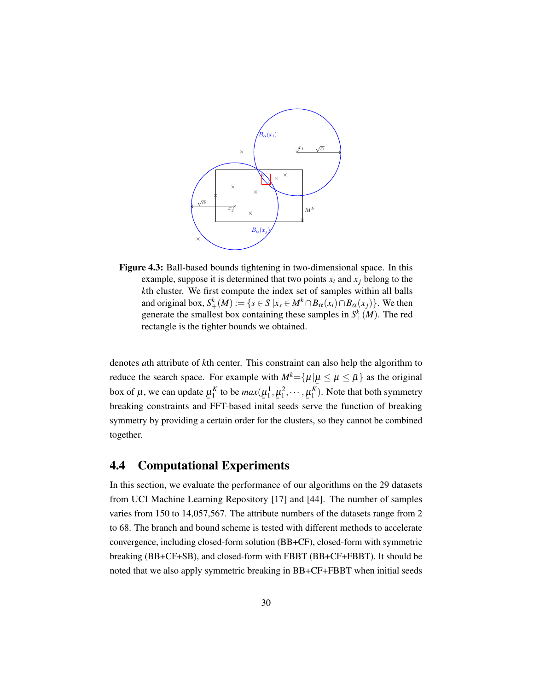<span id="page-39-2"></span><span id="page-39-1"></span>

Figure 4.3: Ball-based bounds tightening in two-dimensional space. In this example, suppose it is determined that two points  $x_i$  and  $x_j$  belong to the *k*th cluster. We first compute the index set of samples within all balls and original box,  $S^k_+(M) := \{ s \in S \mid x_s \in M^k \cap B_\alpha(x_i) \cap B_\alpha(x_j) \}$ . We then generate the smallest box containing these samples in  $S^k_+(M)$ . The red rectangle is the tighter bounds we obtained.

denotes *a*th attribute of *k*th center. This constraint can also help the algorithm to reduce the search space. For example with  $M^k = {\mu | \mu \leq \mu \leq \bar{\mu}}$  as the original box of  $\mu$ , we can update  $\underline{\mu}_1^K$  to be  $max(\underline{\mu}_1^1, \underline{\mu}_1^2, \cdots, \underline{\mu}_1^K)$ . Note that both symmetry breaking constraints and FFT-based inital seeds serve the function of breaking symmetry by providing a certain order for the clusters, so they cannot be combined together.

#### <span id="page-39-0"></span>4.4 Computational Experiments

In this section, we evaluate the performance of our algorithms on the 29 datasets from UCI Machine Learning Repository [\[17\]](#page-51-10) and [\[44\]](#page-53-11). The number of samples varies from 150 to 14,057,567. The attribute numbers of the datasets range from 2 to 68. The branch and bound scheme is tested with different methods to accelerate convergence, including closed-form solution (BB+CF), closed-form with symmetric breaking (BB+CF+SB), and closed-form with FBBT (BB+CF+FBBT). It should be noted that we also apply symmetric breaking in BB+CF+FBBT when initial seeds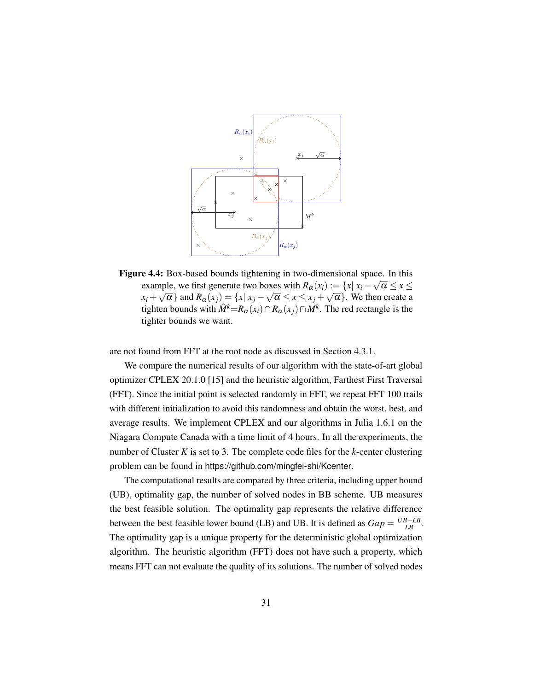<span id="page-40-1"></span><span id="page-40-0"></span>

Figure 4.4: Box-based bounds tightening in two-dimensional space. In this example, we first generate two boxes with  $R_{\alpha}(x_i) := \{x | x_i - \sqrt{\alpha} \le x \le$  $x_i + \sqrt{\alpha}$  and  $R_\alpha(x_j) = \{x | x_j - \sqrt{\alpha} \le x \le x_j + \sqrt{\alpha} \}$ . We then create a tighten bounds with  $\hat{M}^k$ = $R_\alpha(x_i) \cap R_\alpha(x_j) \cap M^k$ . The red rectangle is the tighter bounds we want.

are not found from FFT at the root node as discussed in Section [4.3.1.](#page-36-1)

We compare the numerical results of our algorithm with the state-of-art global optimizer CPLEX 20.1.0 [\[15\]](#page-51-11) and the heuristic algorithm, Farthest First Traversal (FFT). Since the initial point is selected randomly in FFT, we repeat FFT 100 trails with different initialization to avoid this randomness and obtain the worst, best, and average results. We implement CPLEX and our algorithms in Julia 1.6.1 on the Niagara Compute Canada with a time limit of 4 hours. In all the experiments, the number of Cluster *K* is set to 3. The complete code files for the *k*-center clustering problem can be found in <https://github.com/mingfei-shi/Kcenter>.

The computational results are compared by three criteria, including upper bound (UB), optimality gap, the number of solved nodes in BB scheme. UB measures the best feasible solution. The optimality gap represents the relative difference between the best feasible lower bound (LB) and UB. It is defined as  $Gap = \frac{UB - LB}{LB}$ . The optimality gap is a unique property for the deterministic global optimization algorithm. The heuristic algorithm (FFT) does not have such a property, which means FFT can not evaluate the quality of its solutions. The number of solved nodes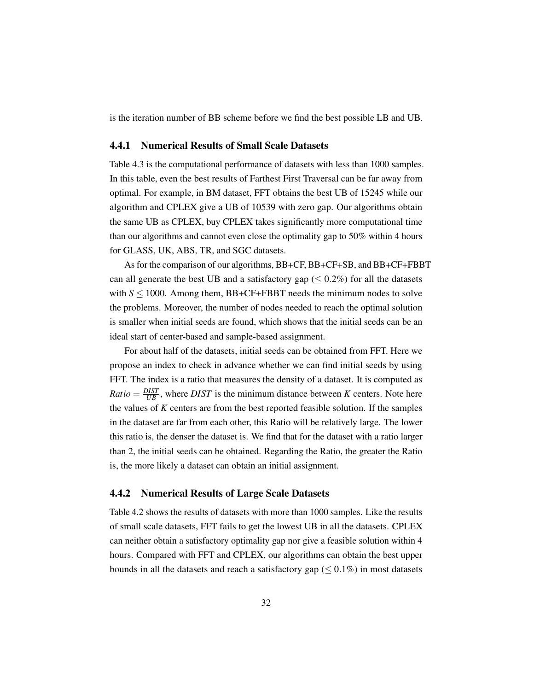<span id="page-41-0"></span>is the iteration number of BB scheme before we find the best possible LB and UB.

#### 4.4.1 Numerical Results of Small Scale Datasets

Table [4.3](#page-44-1) is the computational performance of datasets with less than 1000 samples. In this table, even the best results of Farthest First Traversal can be far away from optimal. For example, in BM dataset, FFT obtains the best UB of 15245 while our algorithm and CPLEX give a UB of 10539 with zero gap. Our algorithms obtain the same UB as CPLEX, buy CPLEX takes significantly more computational time than our algorithms and cannot even close the optimality gap to 50% within 4 hours for GLASS, UK, ABS, TR, and SGC datasets.

As for the comparison of our algorithms, BB+CF, BB+CF+SB, and BB+CF+FBBT can all generate the best UB and a satisfactory gap ( $\leq 0.2\%$ ) for all the datasets with  $S \le 1000$ . Among them, BB+CF+FBBT needs the minimum nodes to solve the problems. Moreover, the number of nodes needed to reach the optimal solution is smaller when initial seeds are found, which shows that the initial seeds can be an ideal start of center-based and sample-based assignment.

For about half of the datasets, initial seeds can be obtained from FFT. Here we propose an index to check in advance whether we can find initial seeds by using FFT. The index is a ratio that measures the density of a dataset. It is computed as *Ratio* =  $\frac{DIST}{UB}$ , where *DIST* is the minimum distance between *K* centers. Note here the values of *K* centers are from the best reported feasible solution. If the samples in the dataset are far from each other, this Ratio will be relatively large. The lower this ratio is, the denser the dataset is. We find that for the dataset with a ratio larger than 2, the initial seeds can be obtained. Regarding the Ratio, the greater the Ratio is, the more likely a dataset can obtain an initial assignment.

#### <span id="page-41-1"></span>4.4.2 Numerical Results of Large Scale Datasets

Table [4.2](#page-44-0) shows the results of datasets with more than 1000 samples. Like the results of small scale datasets, FFT fails to get the lowest UB in all the datasets. CPLEX can neither obtain a satisfactory optimality gap nor give a feasible solution within 4 hours. Compared with FFT and CPLEX, our algorithms can obtain the best upper bounds in all the datasets and reach a satisfactory gap ( $\leq 0.1\%$ ) in most datasets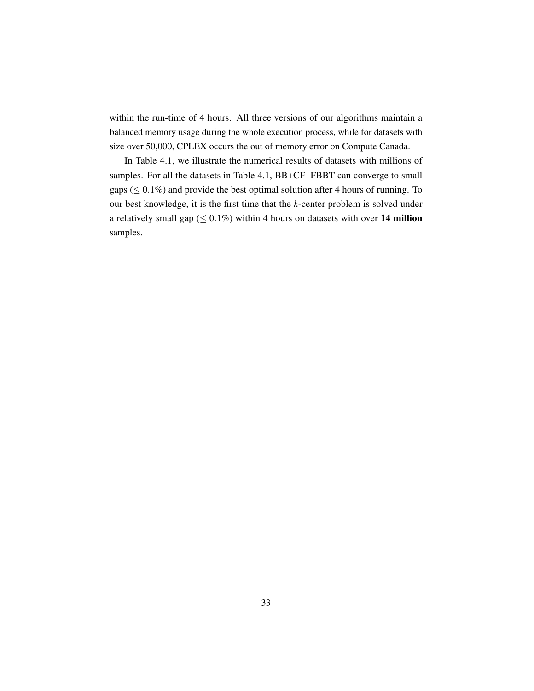within the run-time of 4 hours. All three versions of our algorithms maintain a balanced memory usage during the whole execution process, while for datasets with size over 50,000, CPLEX occurs the out of memory error on Compute Canada.

In Table [4.1,](#page-43-0) we illustrate the numerical results of datasets with millions of samples. For all the datasets in Table [4.1,](#page-43-0) BB+CF+FBBT can converge to small gaps ( $\leq 0.1\%$ ) and provide the best optimal solution after 4 hours of running. To our best knowledge, it is the first time that the *k*-center problem is solved under a relatively small gap ( $\leq 0.1\%$ ) within 4 hours on datasets with over 14 million samples.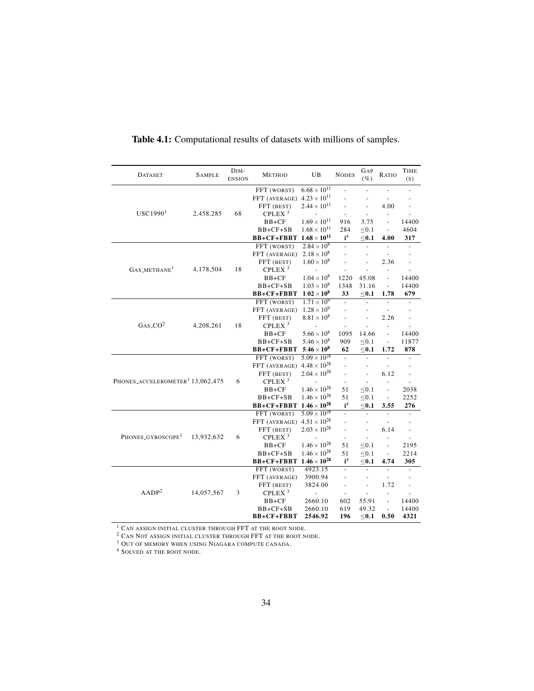| <b>DATASET</b>                               | <b>SAMPLE</b> | DIM-<br><b>ENSION</b> | <b>METHOD</b>      | UB                    | <b>NODES</b>             | GAP<br>$(\%)$  | RATIO                    | <b>TIME</b><br>(S)       |
|----------------------------------------------|---------------|-----------------------|--------------------|-----------------------|--------------------------|----------------|--------------------------|--------------------------|
|                                              |               |                       | FFT (WORST)        | $6.68 \times 10^{11}$ | $\overline{a}$           | ÷,             |                          |                          |
|                                              |               |                       | FFT (AVERAGE)      | $4.23 \times 10^{11}$ |                          |                |                          |                          |
|                                              |               |                       | FFT (BEST)         | $2.44 \times 10^{11}$ |                          | $\overline{a}$ | 4.00                     |                          |
| USC1990 <sup>1</sup>                         | 2,458,285     | 68                    | CPLEX <sup>3</sup> | $\overline{a}$        | ÷,                       | ÷,             | ÷,                       |                          |
|                                              |               |                       | $BB+CF$            | $1.69 \times 10^{11}$ | 916                      | 3.75           | $\overline{\phantom{a}}$ | 14400                    |
|                                              |               |                       | $BB+CF+SB$         | $1.68 \times 10^{11}$ | 284                      | $\leq 0.1$     | $\frac{1}{2}$            | 4604                     |
|                                              |               |                       | BB+CF+FBBT         | $1.68\times10^{11}$   | i <sup>4</sup>           | $<$ 0.1        | 4.00                     | 317                      |
|                                              |               |                       | FFT (WORST)        | $2.84 \times 10^{8}$  | $\overline{\phantom{0}}$ | $\overline{a}$ |                          |                          |
|                                              |               |                       | FFT (AVERAGE)      | $2.18 \times 10^{8}$  | $\overline{\phantom{0}}$ | ÷,             | ÷,                       |                          |
|                                              |               |                       | FFT (BEST)         | $1.60 \times 10^8$    | $\overline{a}$           | L              | 2.36                     | $\overline{a}$           |
| $GAS_METHANE1$                               | 4,178,504     | 18                    | CPLEX <sup>3</sup> |                       |                          |                | $\overline{a}$           |                          |
|                                              |               |                       | $BB+CF$            | $1.04 \times 10^{8}$  | 1220                     | 45.08          | $\frac{1}{2}$            | 14400                    |
|                                              |               |                       | $BB+CF+SB$         | $1.03 \times 10^{8}$  | 1348                     | 31.16          | $\frac{1}{2}$            | 14400                    |
|                                              |               |                       | BB+CF+FBBT         | $1.02\times10^8$      | 33                       | $<$ 0.1        | 1.78                     | 679                      |
|                                              |               |                       | FFT (WORST)        | $1.71 \times 10^{9}$  | $\overline{a}$           | ÷,             | $\overline{\phantom{a}}$ |                          |
|                                              | 4,208,261     |                       | FFT (AVERAGE)      | $1.28 \times 10^{9}$  | $\overline{a}$           |                |                          |                          |
|                                              |               |                       | FFT (BEST)         | $8.81 \times 10^{8}$  |                          |                | 2.26                     |                          |
| $GAS\_CO^2$                                  |               | 18                    | CPLEX <sup>3</sup> |                       |                          | $\frac{1}{2}$  | $\overline{a}$           | $\overline{a}$           |
|                                              |               |                       | $BB+CF$            | $5.66 \times 10^{8}$  | 1095                     | 14.66          | $\overline{a}$           | 14400                    |
|                                              |               |                       | $BB+CF+SB$         | $5.46 \times 10^{8}$  | 909                      | $\leq 0.1$     | $\overline{\phantom{0}}$ | 11877                    |
|                                              |               |                       | BB+CF+FBBT         | $5.46 \times 10^8$    | 62                       | $0.1$          | 1.72                     | 878                      |
|                                              |               |                       | FFT (WORST)        | $5.09 \times 10^{28}$ | $\frac{1}{2}$            | $\overline{a}$ | $\overline{a}$           | $\overline{a}$           |
|                                              |               |                       | FFT (AVERAGE)      | $4.48 \times 10^{28}$ | $\overline{a}$           | ٠              |                          |                          |
|                                              |               |                       | FFT (BEST)         | $2.04 \times 10^{28}$ | $\overline{\phantom{a}}$ | $\overline{a}$ | 6.12                     | $\overline{a}$           |
| PHONES_ACCELEROMETER <sup>1</sup> 13,062,475 |               | 6                     | CPLEX <sup>3</sup> |                       | $\overline{\phantom{a}}$ | $\overline{a}$ | $\overline{a}$           |                          |
|                                              |               |                       | $BB+CF$            | $1.46 \times 10^{28}$ | 51                       | $\leq 0.1$     | $\overline{a}$           | 2038                     |
|                                              |               |                       | $BB+CF+SB$         | $1.46 \times 10^{28}$ | 51                       | < 0.1          | $\frac{1}{2}$            | 2252                     |
|                                              |               |                       | BB+CF+FBBT         | $1.46 \times 10^{28}$ | i <sup>4</sup>           | $<$ 0.1        | 3.55                     | 276                      |
|                                              |               |                       | FFT (WORST)        | $5.09 \times 10^{28}$ | $\frac{1}{2}$            | ÷,             | ÷,                       |                          |
|                                              |               |                       | FFT (AVERAGE)      | $4.51 \times 10^{28}$ | $\frac{1}{2}$            | $\overline{a}$ | $\overline{\phantom{a}}$ |                          |
|                                              |               |                       | FFT (BEST)         | $2.03 \times 10^{28}$ | $\overline{a}$           | $\overline{a}$ | 6.14                     | $\overline{\phantom{a}}$ |
| PHONES_GYROSCOPE <sup>1</sup>                | 13,932,632    | 6                     | CPLEX <sup>3</sup> |                       | $\overline{\phantom{a}}$ | $\overline{a}$ | $\overline{a}$           |                          |
|                                              |               |                       | $BB+CF$            | $1.46 \times 10^{28}$ | 51                       | < 0.1          | $\frac{1}{2}$            | 2195                     |
|                                              |               |                       | $BB+CF+SB$         | $1.46 \times 10^{28}$ | 51                       | $\leq 0.1$     | $\overline{\phantom{a}}$ | 2214                     |
|                                              |               |                       | BB+CF+FBBT         | $1.46 \times 10^{28}$ | i <sup>4</sup>           | $\leq$ 0.1     | 4.74                     | 305                      |
|                                              |               |                       | FFT (WORST)        | 4923.15               | $\overline{a}$           | $\overline{a}$ |                          |                          |
|                                              |               |                       | FFT (AVERAGE)      | 3900.94               | $\overline{a}$           | $\overline{a}$ | $\overline{\phantom{a}}$ |                          |
|                                              |               |                       | FFT (BEST)         | 3824.00               |                          | $\overline{a}$ | 1.72                     |                          |
| AADP <sup>2</sup>                            | 14,057,567    | 3                     | CPLEX <sup>3</sup> | $\overline{a}$        | $\overline{a}$           | $\frac{1}{2}$  | $\overline{a}$           |                          |
|                                              |               |                       | $BB+CF$            | 2660.10               | 602                      | 55.91          | $\overline{a}$           | 14400                    |
|                                              |               |                       | $BB+CF+SB$         | 2660.10               | 619                      | 49.32          | $\overline{a}$           | 14400                    |
|                                              |               |                       | BB+CF+FBBT         | 2546.92               | 196                      | $\leq$ 0.1     | 0.50                     | 4321                     |

<span id="page-43-0"></span>Table 4.1: Computational results of datasets with millions of samples.

 $^1$  CAN ASSIGN INITIAL CLUSTER THROUGH FFT AT THE ROOT NODE.

 $2$  Can Not assign initial cluster through FFT at the root node.

 $3$  Out of memory when using Niagara compute canada.

<sup>4</sup> SOLVED AT THE ROOT NODE.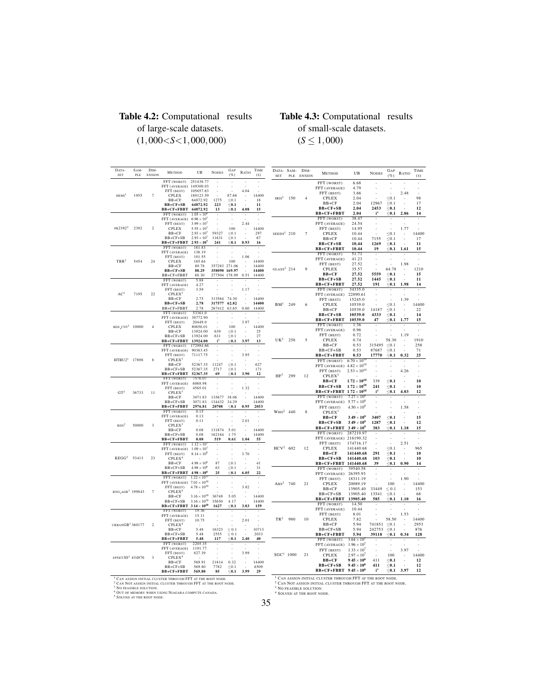#### <span id="page-44-0"></span>Table 4.2: Computational results of large-scale datasets. (1,000<*S*<1,000,000)

#### <span id="page-44-1"></span>Table 4.3: Computational results of small-scale datasets.  $(S \le 1,000)$

| DATA-<br><b>SET</b>                                                                                                                                | SAM-<br>PLE | DIM-<br><b>ENSION</b> | <b>METHOD</b>                                    | UB                                           | <b>NODES</b>     | GAP<br>$(\%)$       | RATIO | TIME<br>(S)    | DATA-<br><b>SET</b> |
|----------------------------------------------------------------------------------------------------------------------------------------------------|-------------|-----------------------|--------------------------------------------------|----------------------------------------------|------------------|---------------------|-------|----------------|---------------------|
|                                                                                                                                                    |             |                       | FFT (WORST)<br>FFT (AVERAGE)                     | 251438.77<br>149300.03                       |                  |                     | ä,    |                |                     |
|                                                                                                                                                    | 1955        | $\overline{7}$        | FFT (BEST)<br>CPLEX                              | 105657.63<br>180123.59                       |                  | 87.66               | 4.04  | 14400          |                     |
| $HEMI$ <sup>1</sup>                                                                                                                                |             |                       | $BB+CF$                                          | 64872.92                                     | 1275             | $\leq 0.1$          | ł,    | 18             | IRIS <sup>1</sup>   |
|                                                                                                                                                    |             |                       | $BB+CF+SB$                                       | 64872.92                                     | 223              | $0.1$               | J.    | 11             |                     |
|                                                                                                                                                    |             |                       | BB+CF+FBBT                                       | 64872.92                                     | 13               | $\leq 0.1$          | 4.08  | 15             |                     |
|                                                                                                                                                    |             |                       | FFT (WORST)<br>FFT (AVERAGE)                     | $1.05 \times 10^{8}$<br>$6.96\times10^7$     | L                |                     |       |                |                     |
|                                                                                                                                                    |             |                       | FFT (BEST)                                       | $3.99 \times 10^{7}$                         | i,               |                     | 2.44  |                |                     |
| PR2392 <sup>2</sup>                                                                                                                                | 2392        | $\overline{2}$        | CPLEX                                            | $5.55 \times 10^{7}$                         |                  | 100                 |       | 14400          |                     |
|                                                                                                                                                    |             |                       | $BB+CF$                                          | $2.93\times10^7$                             | 59327            | $\leq 0.1$          |       | 297            | SEEDS <sup>1</sup>  |
|                                                                                                                                                    |             |                       | $BB+CF+SB$                                       | $2.93 \times 10^{7}$<br>$2.93 \times 10^{7}$ | 11631<br>241     | < 0.1<br>$\leq 0.1$ | 0.93  | 67<br>16       |                     |
|                                                                                                                                                    |             |                       | BB+CF+FBBT<br>FFT (WORST)                        | 161.83                                       |                  |                     |       |                |                     |
|                                                                                                                                                    |             |                       | FFT (AVERAGE)                                    | 136.19                                       |                  | í,                  |       |                |                     |
|                                                                                                                                                    |             |                       | FFT (BEST)                                       | 101.55                                       |                  |                     | 1.06  |                |                     |
| TRR <sup>2</sup>                                                                                                                                   | 5454        | 24                    | <b>CPLEX</b><br>$BB+CF$                          | 165.64<br>89.78                              | 357283           | 100<br>271.06       | í,    | 14400<br>14400 |                     |
|                                                                                                                                                    |             |                       | $BB+CF+SB$                                       | 88.29                                        | 358090           | 169.97              |       | 14400          | $GLASS^2$           |
|                                                                                                                                                    |             |                       | BB+CF+FBBT                                       | 88.30                                        | 277504           | 178.99              | 0.51  | 14400          |                     |
|                                                                                                                                                    |             |                       | FFT (WORST)                                      | 5.88                                         |                  |                     |       |                |                     |
|                                                                                                                                                    |             |                       | FFT (AVERAGE)<br>FFT (BEST)                      | 4.27<br>3.59                                 |                  |                     | 1.17  |                |                     |
| AC <sup>2</sup>                                                                                                                                    | 7195        | 22                    | CPLEX <sup>3</sup>                               |                                              |                  |                     |       |                |                     |
|                                                                                                                                                    |             |                       | $BB+CF$                                          | 2.75                                         | 313564           | 74.30               | l,    | 14400          |                     |
|                                                                                                                                                    |             |                       | $BB+CF+SB$                                       | 2.78                                         | 317577           | 62.82               |       | 14400          | BM <sup>1</sup>     |
|                                                                                                                                                    |             |                       | BB+CF+FBBT<br>FFT (WORST)                        | 2.78<br>53361.0                              | 267412           | 63.65               | 0.60  | 14400          |                     |
|                                                                                                                                                    |             |                       | FFT (AVERAGE)                                    | 38772.90                                     |                  |                     |       |                |                     |
|                                                                                                                                                    |             |                       | FFT (BEST)                                       | 20449.0                                      | L                | l,                  | 3.97  |                |                     |
| $RDS_CNT$ <sup>1</sup>                                                                                                                             | 10000       | $\overline{4}$        | CPLEX                                            | 80656.01                                     |                  | 100                 |       | 14400          |                     |
|                                                                                                                                                    |             |                       | $BB+CF$                                          | 13924.00                                     | 639              | ${}_{\leq 0.1}$     |       | 25<br>27       |                     |
|                                                                                                                                                    |             |                       | $BB+CF+SB$<br>BB+CF+FBBT                         | 13924.00<br>13924.00                         | 631<br>$i^5$     | $\leq 0.1$<br>$0.1$ | 3.97  | 13             | UK <sup>2</sup>     |
|                                                                                                                                                    |             |                       | FFT (WORST)                                      | 172984.66                                    | í,               |                     |       |                |                     |
|                                                                                                                                                    |             |                       | FFT (AVERAGE)                                    | 90363.45                                     |                  |                     |       |                |                     |
| HTRU2 <sup>1</sup>                                                                                                                                 | 17898       | 8                     | FFT (BEST)                                       | 71117.75                                     |                  |                     | 3.95  |                |                     |
|                                                                                                                                                    |             |                       | CPLEX <sup>3</sup><br>$BB+CF$                    | 52367.35                                     | 11247            | $\leq 0.1$          | l,    | 627            |                     |
|                                                                                                                                                    |             |                       | $BB+CF+SB$                                       | 52367.35                                     | 2717             | $\leq 0.1$          |       | 171            |                     |
|                                                                                                                                                    |             |                       | BB+CF+FBBT                                       | 52367.35                                     | 69               | $\leq 0.1$          | 3.90  | 12             | HF <sup>1</sup>     |
|                                                                                                                                                    |             |                       | FFT (WORST)                                      | 7576.07                                      |                  |                     |       |                |                     |
|                                                                                                                                                    | 36733       |                       | FFT (AVERAGE)<br>FFT (BEST)                      | 6068.98<br>4565.01                           |                  |                     | 1.32  |                |                     |
| GT <sup>2</sup>                                                                                                                                    |             | 11                    | CPLEX <sup>3</sup>                               |                                              |                  |                     |       |                |                     |
|                                                                                                                                                    |             |                       | $BB+CF$                                          | 3071.83                                      | 135677           | 38.06               | l,    | 14400          |                     |
|                                                                                                                                                    |             |                       | $BB+CF+SB$                                       | 3071.83                                      | 134432           | 34.29               |       | 14400          |                     |
|                                                                                                                                                    | 50000       |                       | BB+CF+FBBT<br>FFT (WORST)                        | 2976.81<br>0.15                              | 20708            | $\leq 0.1$          | 0.95  | 2053           |                     |
|                                                                                                                                                    |             |                       | FFT (AVERAGE)                                    | 0.13                                         |                  |                     |       |                | WHO <sup>2</sup>    |
|                                                                                                                                                    |             |                       | FFT (BEST)                                       | 0.11                                         |                  |                     | 2.01  |                |                     |
| RDS <sup>2</sup>                                                                                                                                   |             | 3                     | $CPLEX$ <sup>3</sup>                             |                                              |                  |                     |       |                |                     |
|                                                                                                                                                    |             |                       | $BB+CF$<br>$BB+CF+SB$                            | 0.08<br>0.08                                 | 131874<br>162164 | 5.01<br>1.75        |       | 14400<br>14400 |                     |
|                                                                                                                                                    |             |                       | BB+CF+FBBT                                       | 0.08                                         | 519              | 0.61                | 1.04  | 55             |                     |
|                                                                                                                                                    |             |                       | FFT (WORST)                                      | $1.12 \times 10^{7}$                         |                  |                     | ä,    | í,             |                     |
|                                                                                                                                                    |             |                       | FFT (AVERAGE)                                    | $1.09 \times 10^{7}$                         |                  |                     |       |                | HCV <sup>2</sup>    |
| KEGG <sup>2</sup>                                                                                                                                  | 53413       | 23                    | FFT (BEST)                                       | $8.14 \times 10^{6}$                         | ł,               |                     | 3.70  |                |                     |
|                                                                                                                                                    |             |                       | CPLEX <sup>4</sup><br>$BB+CF$                    | $4.98\times10^6$                             | 87               | ${}_{\leq 0.1}$     | l,    | 41             |                     |
|                                                                                                                                                    |             |                       | $BB+CF+SB$                                       | $4.98 \times 10^{6}$                         | 63               | $\leq 0.1$          |       | 31             |                     |
|                                                                                                                                                    |             |                       | BB+CF+FBBT                                       | $4.98\times10^6$                             | 25               | $\leq 0.1$          | 6.05  | 22             |                     |
|                                                                                                                                                    |             |                       | FFT (WORST)                                      | $1.22 \times 10^{11}$                        |                  |                     |       |                |                     |
|                                                                                                                                                    |             |                       | FFT (AVERAGE)<br>FFT (BEST)                      | $7.01\times10^{10}$<br>$4.78 \times 10^{10}$ |                  | i,                  | 3.82  |                | $\text{Abs}^2$      |
| RNG_AGR <sup>1</sup> 199843                                                                                                                        |             | 7                     | CPLEX <sup>4</sup>                               |                                              |                  |                     |       |                |                     |
|                                                                                                                                                    |             |                       | $BB+CF$                                          | $3.16\times10^{10}$                          | 36749            | 5.05                | L     | 14400          |                     |
|                                                                                                                                                    |             |                       | $BB+CF+SB$                                       | $3.16\times10^{10}$                          | 35650            | 4.17                |       | 14400          |                     |
|                                                                                                                                                    |             |                       | BB+CF+FBBT                                       | $3.14\times10^{10}$                          | 1627             | $\leq 0.1$          | 3.83  | 159            |                     |
|                                                                                                                                                    |             |                       | FFT (WORST)<br>FFT (AVERAGE)                     | 19.36<br>15.11                               |                  |                     |       |                |                     |
|                                                                                                                                                    |             |                       | FFT (BEST)                                       | 10.75                                        |                  |                     | 2.01  |                | TR <sup>2</sup>     |
| URBANGB <sup>1</sup> 360177                                                                                                                        |             | $\overline{2}$        | CPLEX <sup>4</sup>                               |                                              |                  |                     |       |                |                     |
|                                                                                                                                                    |             |                       | $BB+CF$                                          | 5.48                                         | 16323            | $\leq 0.1$          | ä,    | 10713          |                     |
|                                                                                                                                                    |             |                       | $BB+CF+SB$                                       | 5.48<br>5.48                                 | 2555             | $\leq 0.1$          |       | 2033<br>40     |                     |
|                                                                                                                                                    |             |                       | BB+CF+FBBT<br>FFT (WORST)                        | 2205.35                                      | 117              | $\leq 0.1$          | 2.40  |                |                     |
|                                                                                                                                                    |             |                       | FFT (AVERAGE)                                    | 1191.77                                      |                  |                     |       |                |                     |
|                                                                                                                                                    |             |                       | FFT (BEST)                                       | 827.39                                       |                  |                     | 3.99  |                | SGC <sup>1</sup>    |
| $SPNET3D1 434876$                                                                                                                                  |             | 3                     | CPLEX <sup>4</sup><br>$BB+CF$                    | 569.91                                       | 21814            | 0.32                | ł,    | 14400          |                     |
|                                                                                                                                                    |             |                       | $BB+CF+SB$                                       | 569.80                                       | 7782             | $\leq 0.1$          |       | 6509           |                     |
|                                                                                                                                                    |             |                       | BB+CF+FBBT                                       | 569.80                                       | 85               | $0.1$               | 3.99  | 29             |                     |
|                                                                                                                                                    |             |                       |                                                  |                                              |                  |                     |       |                | $1$ CAN             |
| <sup>1</sup> CAN ASSIGN INITIAL CLUSTER THROUGH FFT AT THE ROOT NODE.<br><sup>2</sup> CAN NOT ASSIGN INITIAL CLUSTER THROUGH FFT AT THE ROOT NODE. |             |                       |                                                  |                                              |                  |                     |       |                | $2$ CAN             |
| NO FEASIBLE SOLUTION.<br>4                                                                                                                         |             |                       |                                                  |                                              |                  |                     |       |                | $3$ No F            |
| <sup>5</sup> SOLVED AT THE ROOT NODE.                                                                                                              |             |                       | OUT OF MEMORY WHEN USING NIAGARA COMPUTE CANADA. |                                              |                  |                     |       |                | $^4$ SOLV           |
|                                                                                                                                                    |             |                       |                                                  |                                              |                  |                     |       |                |                     |

| DATA- SAM-<br><b>SET</b> | PLE | DIM-<br>ENSION | METHOD                                           | UB                                           | <b>NODES</b>   | GAP<br>( %)           | RATIO                          | TIME<br>(S)              |
|--------------------------|-----|----------------|--------------------------------------------------|----------------------------------------------|----------------|-----------------------|--------------------------------|--------------------------|
|                          |     |                | FFT (WORST)                                      | 6.68                                         | ä,             | ×,                    | ×.                             | ä,                       |
|                          |     |                | FFT (AVERAGE)                                    | 4.79                                         | i.             | Ĭ.                    |                                | í,                       |
| IRIS <sup>1</sup>        | 150 | $\overline{4}$ | FFT (BEST)<br><b>CPLEX</b>                       | 3.66<br>2.04                                 |                | ä.<br>$\leq 0.1$      | 2.48                           | J.<br>98                 |
|                          |     |                | $BB+CF$                                          | 2.04                                         | 12967          | $\leq 0.1$            | $\overline{\phantom{a}}$<br>Ĭ. | 17                       |
|                          |     |                | $BB+CF+SB$                                       | 2.04                                         | 2453           | $<$ 0.1 $\,$          |                                | 12                       |
|                          |     |                | BB+CF+FBBT                                       | 2.04                                         | $\mathbf{i}^4$ | < 0.1                 | 2.86                           | 14                       |
|                          |     |                | FFT (WORST)                                      | 38.47                                        | ä,             |                       |                                |                          |
|                          |     |                | FFT (AVERAGE)                                    | 24.54<br>14.95                               |                | Ĭ.                    | 1.77                           | J.                       |
| SEEDS <sup>1</sup> 210   |     | $\overline{7}$ | FFT (BEST)<br><b>CPLEX</b>                       | 10.44                                        |                | $\leq 0.1$            | ٠                              | 14400                    |
|                          |     |                | $BB+CF$                                          | 10.44                                        | 7155           | < 0.1                 |                                | 17                       |
|                          |     |                | $BB+CF+SB$                                       | 10.44                                        | 1269           | $\leq 0.1$            |                                | 11                       |
|                          |     |                | BB+CF+FBBT<br>FFT (WORST)                        | 10.44<br>51.71                               | 19             | $\leq 0.1$            | 1.61                           | 15                       |
|                          |     |                | FFT (AVERAGE)                                    | 41.23                                        |                |                       |                                |                          |
|                          |     |                | FFT (BEST)                                       | 27.52                                        | í,             |                       | 1.98                           | J.                       |
| GLASS <sup>2</sup> 214   |     | $\ddot{9}$     | <b>CPLEX</b>                                     | 35.57                                        |                | 64.78                 | $\overline{\phantom{a}}$       | 1210                     |
|                          |     |                | $BB+CF$                                          | 27.52                                        | 5559           | $\leq 0.1$            |                                | 15<br>11                 |
|                          |     |                | $BB+CF+SB$<br>BB+CF+FBBT                         | 27.52<br>27.52                               | 1445<br>191    | $<$ 0.1<br>$\leq$ 0.1 | 1.98                           | 14                       |
|                          |     |                | FFT (WORST)                                      | 34335.0                                      |                |                       |                                |                          |
|                          |     |                | FFT (AVERAGE)                                    | 22890.61                                     |                |                       |                                |                          |
|                          |     |                | FFT (BEST)                                       | 15245.0                                      |                | J.                    | 1.39                           | J.                       |
| BM <sup>1</sup>          | 249 | 6              | <b>CPLEX</b><br>$BB+CF$                          | 10539.0<br>10539.0                           | 14187          | $\leq 0.1$<br>< 0.1   | ٠                              | 14400<br>22              |
|                          |     |                | $BB+CF+SB$                                       | 10539.0                                      | 4333           | $\leq 0.1$            |                                | 14                       |
|                          |     |                | BB+CF+FBBT                                       | 10539.0                                      | 47             | $\leq 0.1$            | 1.77                           | 15                       |
|                          |     |                | FFT (WORST)                                      | 1.36                                         |                |                       |                                |                          |
|                          |     |                | FFT (AVERAGE)<br>FFT (BEST)                      | 0.96<br>0.72                                 | í.             |                       | 1.19                           |                          |
| UK <sup>2</sup>          | 258 | 5              | <b>CPLEX</b>                                     | 0.74                                         |                | 58.30                 | ٠                              | 1910                     |
|                          |     |                | $BB+CF$                                          | 0.53                                         | 315495         | $\leq 0.1$            |                                | 258                      |
|                          |     |                | $BB+CF+SB$                                       | 0.53                                         | 87687          | < 0.1                 |                                | 71                       |
|                          |     |                | BB+CF+FBBT                                       | 0.53                                         | 17770          | $\leq 0.1$            | 0.32                           | 25                       |
|                          |     |                | FFT (WORST)<br>FFT (AVERAGE) $4.82\times10^{10}$ | $6.70 \times 10^{10}$                        |                |                       |                                | i,                       |
|                          |     |                | FFT (BEST)                                       | $2.53\times10^{10}$                          | i,             | i.                    | 4.26                           | ÷                        |
| HF <sup>1</sup>          | 299 | 12             | CPLEX <sup>3</sup>                               |                                              |                |                       | ×.                             | ÷                        |
|                          |     |                | $BB+CF$                                          | $1.72\times10^{10}$                          | 339            | $\leq$ 0.1            | ٠                              | 10                       |
|                          |     |                | $BB+CF+SB$                                       | $1.72\times10^{10}$                          | 241<br>$i^4$   | < 0.1                 |                                | 10<br>12                 |
|                          |     |                | BB+CF+FBBT<br>FFT (WORST)                        | $1.72\times10^{10}$<br>$7.27 \times 10^{9}$  |                | $\leq 0.1$            | 4.03                           |                          |
|                          |     |                | FFT (AVERAGE)                                    | $5.77\times10^9$                             | i.             |                       |                                | Ĭ.                       |
|                          |     |                | FFT (BEST)                                       | $4.50 \times 10^{9}$                         |                |                       | 1.58                           |                          |
| $WHO2$ 440               |     | $\bf{8}$       | CPLEX <sup>1</sup>                               |                                              |                |                       |                                |                          |
|                          |     |                | BB+CF<br>$BB+CF+SB$                              | $3.49 \times 10^{9}$<br>$3.49 \times 10^{9}$ | 3407<br>1287   | $\leq 0.1$<br>$<$ 0.1 | ä,                             | 15<br>12                 |
|                          |     |                | BB+CF+FBBT                                       | $3.49 \times 10^{9}$                         | 383            | $\leq 0.1$            | 1.18                           | 15                       |
|                          |     |                | FFT (WORST)                                      | 287219.97                                    | ÷              |                       |                                | $\overline{\phantom{a}}$ |
|                          |     |                | FFT (AVERAGE)                                    | 216190.32                                    |                |                       |                                | i,                       |
| $HCV2$ 602               |     | 12             | FFT (BEST)<br><b>CPLEX</b>                       | 174716.17<br>141440.68                       | ł              | ä,<br>$\leq 0.1$      | 2.51<br>ä,                     | J.<br>965                |
|                          |     |                | $BB+CF$                                          | 141440.68                                    | 291            | $<$ 0.1               |                                | 10                       |
|                          |     |                | $BB+CF+SB$                                       | 141440.68                                    | 103            | $\leq$ 0.1            |                                | 10                       |
|                          |     |                | BB+CF+FBBT                                       | 141440.68                                    | 39             | $\leq 0.1$            | 0.90                           | 14                       |
|                          |     |                | FFT (WORST)<br>FFT (AVERAGE)                     | 39540.58<br>26395.93                         |                |                       |                                |                          |
|                          |     |                | FFT (BEST)                                       | 18311.19                                     |                | L.                    | 1.90                           |                          |
| $\text{abs}^2$           | 740 | 2.1            | <b>CPLEX</b>                                     | 20089.19                                     |                | 100                   | ٠                              | 14400                    |
|                          |     |                | $BB+CF$                                          | 13905.40                                     | 33449          | ${}_{0.1}$            |                                | 153<br>68                |
|                          |     |                | $BB+CF+SB$<br>BB+CF+FBBT                         | 13905.40<br>13905.40                         | 13541<br>585   | < 0.1<br>$\leq$ 0.1   | 1.10                           | 16                       |
|                          |     |                | FFT (WORST)                                      | 14.50                                        |                |                       |                                | ٠                        |
|                          |     |                | FFT (AVERAGE)                                    | 10.44                                        |                | i,                    |                                | i,                       |
|                          |     |                | FFT (BEST)                                       | 8.01                                         |                |                       | 1.53                           |                          |
| TR <sup>2</sup>          | 980 | 10             | <b>CPLEX</b><br>$BB+CF$                          | 7.82<br>5.94                                 | 741851         | 58.50<br>< 0.1        | ×.                             | 14400<br>2953            |
|                          |     |                | $BB+CF+SB$                                       | 5.94                                         | 242753         | $\leq 0.1$            | ä,                             | 876                      |
|                          |     |                | BB+CF+FBBT                                       | 5.94                                         | 39118          | $\leq 0.1$            | 0.34                           | 128                      |
|                          |     |                | FFT (WORST)                                      | $3.64 \times 10^{7}$                         |                |                       |                                |                          |
|                          |     |                | FFT (AVERAGE)<br>FFT (BEST)                      | $1.96 \times 10^{7}$<br>$1.33 \times 10^{7}$ | i,             | L                     | 3.97                           | ×<br>L                   |
| SGC <sup>1</sup> 1000    |     | 2.1            | <b>CPLEX</b>                                     | $2.97 \times 10^{7}$                         |                | 100                   | i.                             | 14400                    |
|                          |     |                | $BB+CF$                                          | $9.45 \times 10^6$                           | 411            | $\leq 0.1$            |                                | 12                       |
|                          |     |                | $BB+CF+SB$                                       | $9.45 \times 10^6$                           | 411            | < 0.1                 |                                | 12                       |
|                          |     |                | BB+CF+FBBT                                       | $9.45\times10^6$                             | $i^4$          | $<$ 0.1               | 3.97                           | 12                       |

<sup>1</sup> Can assign initial cluster through FFT at the root node.<br><sup>2</sup> Can Not assign initial cluster through FFT at the root node.<br><sup>3</sup> No feasible solution.<br><sup>4</sup> Solved at the root node.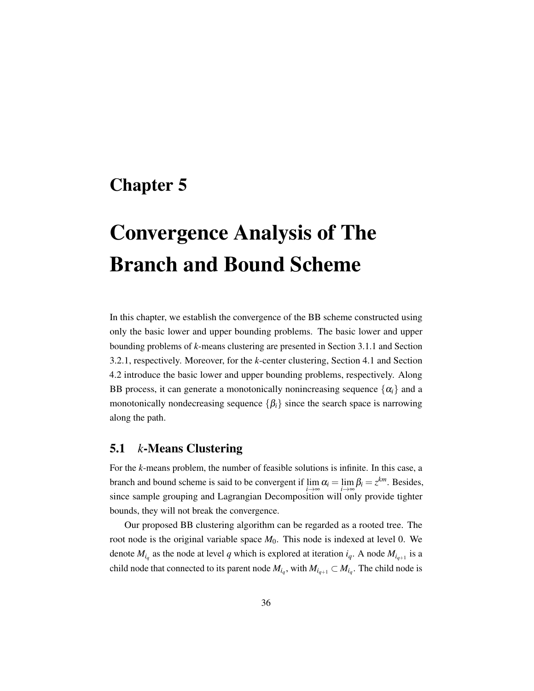### <span id="page-45-0"></span>Chapter 5

# Convergence Analysis of The Branch and Bound Scheme

In this chapter, we establish the convergence of the BB scheme constructed using only the basic lower and upper bounding problems. The basic lower and upper bounding problems of *k*-means clustering are presented in Section [3.1.1](#page-21-1) and Section [3.2.1,](#page-25-1) respectively. Moreover, for the *k*-center clustering, Section [4.1](#page-32-1) and Section [4.2](#page-34-0) introduce the basic lower and upper bounding problems, respectively. Along BB process, it can generate a monotonically nonincreasing sequence  $\{\alpha_i\}$  and a monotonically nondecreasing sequence  $\{\beta_i\}$  since the search space is narrowing along the path.

#### <span id="page-45-1"></span>5.1 *k*-Means Clustering

For the *k*-means problem, the number of feasible solutions is infinite. In this case, a branch and bound scheme is said to be convergent if  $\lim \alpha_i = \lim \beta_i = z^{km}$ . Besides, since sample grouping and Lagrangian Decomposition will only provide tighter bounds, they will not break the convergence.

Our proposed BB clustering algorithm can be regarded as a rooted tree. The root node is the original variable space  $M_0$ . This node is indexed at level 0. We denote  $M_{i_q}$  as the node at level *q* which is explored at iteration  $i_q$ . A node  $M_{i_{q+1}}$  is a child node that connected to its parent node  $M_{i_q}$ , with  $M_{i_{q+1}} \subset M_{i_q}$ . The child node is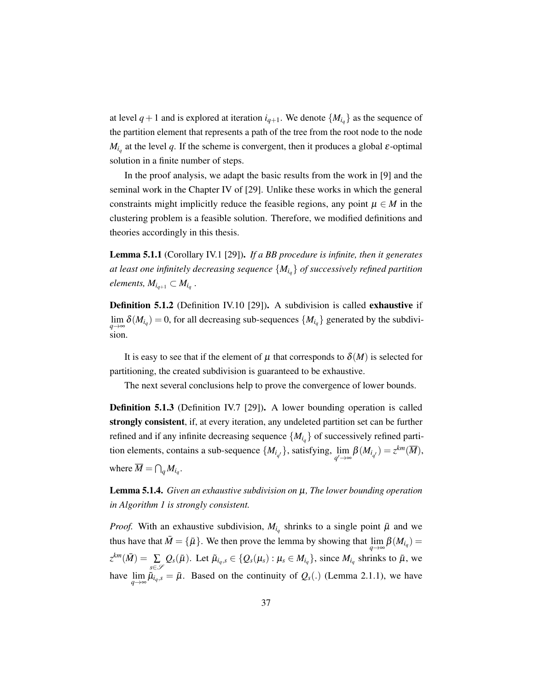<span id="page-46-1"></span>at level  $q+1$  and is explored at iteration  $i_{q+1}$ . We denote  $\{M_{i_q}\}$  as the sequence of the partition element that represents a path of the tree from the root node to the node  $M_{i_q}$  at the level *q*. If the scheme is convergent, then it produces a global  $\varepsilon$ -optimal solution in a finite number of steps.

In the proof analysis, we adapt the basic results from the work in [\[9\]](#page-51-12) and the seminal work in the Chapter IV of [\[29\]](#page-52-11). Unlike these works in which the general constraints might implicitly reduce the feasible regions, any point  $\mu \in M$  in the clustering problem is a feasible solution. Therefore, we modified definitions and theories accordingly in this thesis.

Lemma 5.1.1 (Corollary IV.1 [\[29\]](#page-52-11)). *If a BB procedure is infinite, then it generates at least one infinitely decreasing sequence* {*Mi<sup>q</sup>* } *of successively refined partition*  $\ell$ *elements,*  $M_{i_{q+1}} \subset M_{i_q}$ .

Definition 5.1.2 (Definition IV.10 [\[29\]](#page-52-11)). A subdivision is called exhaustive if  $\lim_{n \to \infty} \delta(M_{i_q}) = 0$ , for all decreasing sub-sequences  $\{M_{i_q}\}\$  generated by the subdivi*q*→∞ sion.

It is easy to see that if the element of  $\mu$  that corresponds to  $\delta(M)$  is selected for partitioning, the created subdivision is guaranteed to be exhaustive.

The next several conclusions help to prove the convergence of lower bounds.

Definition 5.1.3 (Definition IV.7 [\[29\]](#page-52-11)). A lower bounding operation is called strongly consistent, if, at every iteration, any undeleted partition set can be further refined and if any infinite decreasing sequence  $\{M_{i_q}\}$  of successively refined partition elements, contains a sub-sequence  $\{M_{i_{q'}}\}$ , satisfying,  $\lim_{q'\to\infty}$  $\beta(M_{i_{q'}})=z^{km}(\overline{M}),$ where  $\overline{M} = \bigcap_{q} M_{i_q}$ .

<span id="page-46-0"></span>Lemma 5.1.4. *Given an exhaustive subdivision on* µ*, The lower bounding operation in Algorithm [1](#page-19-1) is strongly consistent.*

*Proof.* With an exhaustive subdivision,  $M_{i_q}$  shrinks to a single point  $\bar{\mu}$  and we thus have that  $\overline{M} = {\overline{\mu}}$ . We then prove the lemma by showing that  $\lim_{q \to \infty} \beta(M_{i_q}) =$  $z^{km}(\bar{M}) = \sum_{z \in \mathbb{Z}^g} Q_s(\bar{\mu})$ . Let  $\tilde{\mu}_{i_q,s} \in \{Q_s(\mu_s) : \mu_s \in M_{i_q}\}$ , since  $M_{i_q}$  shrinks to  $\bar{\mu}$ , we *s*∈S have lim lim  $\tilde{\mu}_{q\to\infty}$   $\tilde{\mu}_{i_q,s} = \bar{\mu}$ . Based on the continuity of  $Q_s(.)$  (Lemma [2.1.1\)](#page-18-0), we have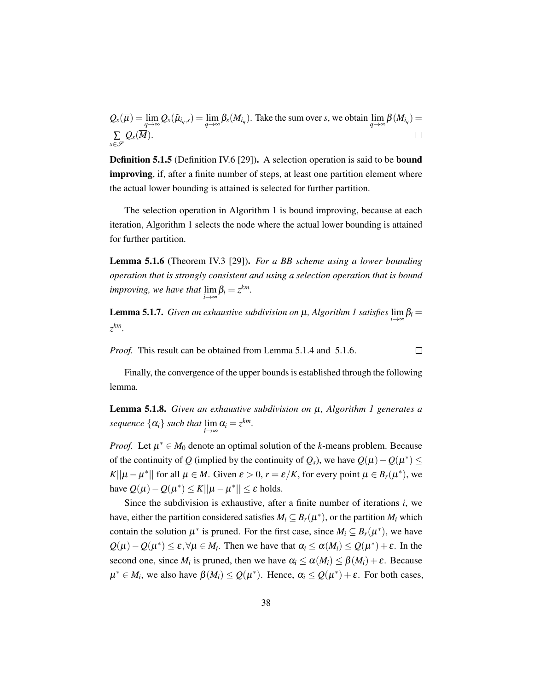<span id="page-47-3"></span> $Q_s(\overline{\mu}) = \lim_{q \to \infty} Q_s(\tilde{\mu}_{i_q,s}) = \lim_{q \to \infty} \beta_s(M_{i_q})$ . Take the sum over *s*, we obtain  $\lim_{q \to \infty}$  $\lim_{q \to \infty} \beta(M_{i_q}) =$  $\Box$  $\mathcal{Q}_s(\overline{M}).$ ∑ *s*∈S

Definition 5.1.5 (Definition IV.6 [\[29\]](#page-52-11)). A selection operation is said to be bound improving, if, after a finite number of steps, at least one partition element where the actual lower bounding is attained is selected for further partition.

The selection operation in Algorithm [1](#page-19-1) is bound improving, because at each iteration, Algorithm [1](#page-19-1) selects the node where the actual lower bounding is attained for further partition.

<span id="page-47-0"></span>Lemma 5.1.6 (Theorem IV.3 [\[29\]](#page-52-11)). *For a BB scheme using a lower bounding operation that is strongly consistent and using a selection operation that is bound improving, we have that* lim  $\lim_{i\to\infty}\beta_i=z^{km}$ .

<span id="page-47-1"></span>**Lemma 5.[1](#page-19-1).7.** *Given an exhaustive subdivision on*  $\mu$ *, Algorithm 1 satisfies*  $\lim_{i \to \infty} \beta_i =$ *z km.*

*Proof.* This result can be obtained from Lemma [5.1.4](#page-46-0) and [5.1.6.](#page-47-0)

 $\Box$ 

Finally, the convergence of the upper bounds is established through the following lemma.

<span id="page-47-2"></span>Lemma 5.1.8. *Given an exhaustive subdivision on* µ*, Algorithm [1](#page-19-1) generates a sequence*  $\{\alpha_i\}$  *such that*  $\lim_{i\to\infty} \alpha_i = z^{km}$ *.* 

*Proof.* Let  $\mu^* \in M_0$  denote an optimal solution of the *k*-means problem. Because of the continuity of *Q* (implied by the continuity of  $Q_s$ ), we have  $Q(\mu) - Q(\mu^*) \le$ *K*|| $\mu - \mu^*$ || for all  $\mu \in M$ . Given  $\varepsilon > 0$ ,  $r = \varepsilon/K$ , for every point  $\mu \in B_r(\mu^*)$ , we have  $Q(\mu) - Q(\mu^*) \le K ||\mu - \mu^*|| \le \varepsilon$  holds.

Since the subdivision is exhaustive, after a finite number of iterations *i*, we have, either the partition considered satisfies  $M_i \subseteq B_r(\mu^*)$ , or the partition  $M_i$  which contain the solution  $\mu^*$  is pruned. For the first case, since  $M_i \subseteq B_r(\mu^*)$ , we have  $Q(\mu) - Q(\mu^*) \le \varepsilon, \forall \mu \in M_i$ . Then we have that  $\alpha_i \le \alpha(M_i) \le Q(\mu^*) + \varepsilon$ . In the second one, since  $M_i$  is pruned, then we have  $\alpha_i \leq \alpha(M_i) \leq \beta(M_i) + \varepsilon$ . Because  $\mu^* \in M_i$ , we also have  $\beta(M_i) \leq Q(\mu^*)$ . Hence,  $\alpha_i \leq Q(\mu^*) + \varepsilon$ . For both cases,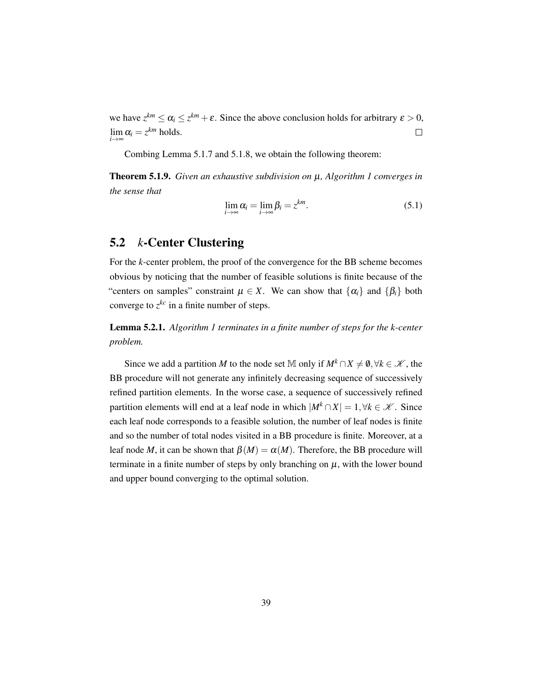we have  $z^{km} \le \alpha_i \le z^{km} + \varepsilon$ . Since the above conclusion holds for arbitrary  $\varepsilon > 0$ ,  $\lim_{i\to\infty} \alpha_i = z^{km}$  holds. lim  $\Box$ 

Combing Lemma [5.1.7](#page-47-1) and [5.1.8,](#page-47-2) we obtain the following theorem:

Theorem 5.1.9. *Given an exhaustive subdivision on* µ*, Algorithm [1](#page-19-1) converges in the sense that*

$$
\lim_{i \to \infty} \alpha_i = \lim_{i \to \infty} \beta_i = z^{km}.
$$
\n(5.1)

#### <span id="page-48-0"></span>5.2 *k*-Center Clustering

For the *k*-center problem, the proof of the convergence for the BB scheme becomes obvious by noticing that the number of feasible solutions is finite because of the "centers on samples" constraint  $\mu \in X$ . We can show that  $\{\alpha_i\}$  and  $\{\beta_i\}$  both converge to  $z^{kc}$  in a finite number of steps.

Lemma 5.2.1. *Algorithm [1](#page-19-1) terminates in a finite number of steps for the k-center problem.*

Since we add a partition *M* to the node set M only if  $M^k \cap X \neq \emptyset, \forall k \in \mathcal{K}$ , the BB procedure will not generate any infinitely decreasing sequence of successively refined partition elements. In the worse case, a sequence of successively refined partition elements will end at a leaf node in which  $|M^k \cap X| = 1, \forall k \in \mathcal{K}$ . Since each leaf node corresponds to a feasible solution, the number of leaf nodes is finite and so the number of total nodes visited in a BB procedure is finite. Moreover, at a leaf node *M*, it can be shown that  $\beta(M) = \alpha(M)$ . Therefore, the BB procedure will terminate in a finite number of steps by only branching on  $\mu$ , with the lower bound and upper bound converging to the optimal solution.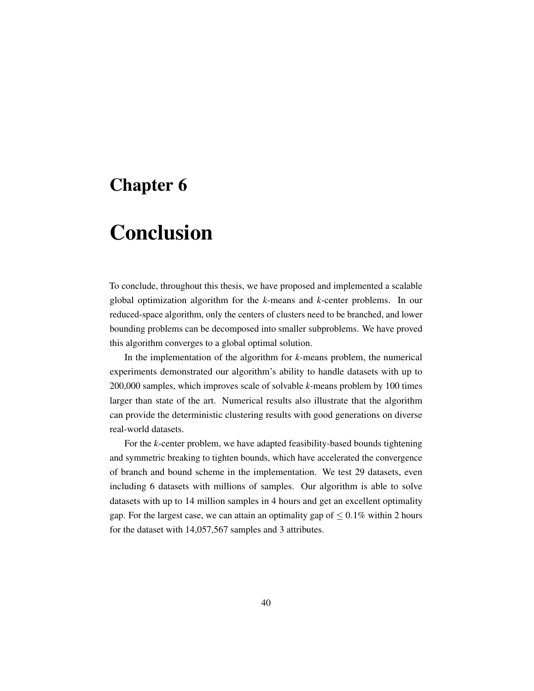### <span id="page-49-0"></span>Chapter 6

## Conclusion

To conclude, throughout this thesis, we have proposed and implemented a scalable global optimization algorithm for the *k*-means and *k*-center problems. In our reduced-space algorithm, only the centers of clusters need to be branched, and lower bounding problems can be decomposed into smaller subproblems. We have proved this algorithm converges to a global optimal solution.

In the implementation of the algorithm for *k*-means problem, the numerical experiments demonstrated our algorithm's ability to handle datasets with up to 200,000 samples, which improves scale of solvable *k*-means problem by 100 times larger than state of the art. Numerical results also illustrate that the algorithm can provide the deterministic clustering results with good generations on diverse real-world datasets.

For the *k*-center problem, we have adapted feasibility-based bounds tightening and symmetric breaking to tighten bounds, which have accelerated the convergence of branch and bound scheme in the implementation. We test 29 datasets, even including 6 datasets with millions of samples. Our algorithm is able to solve datasets with up to 14 million samples in 4 hours and get an excellent optimality gap. For the largest case, we can attain an optimality gap of  $\leq 0.1\%$  within 2 hours for the dataset with 14,057,567 samples and 3 attributes.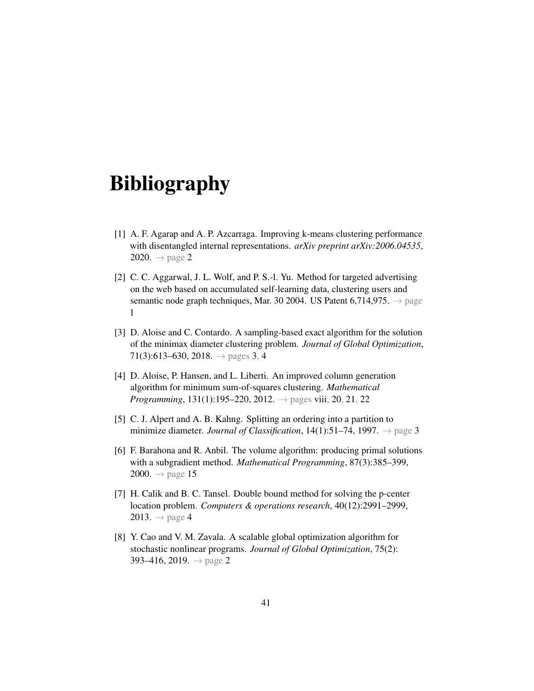## <span id="page-50-0"></span>Bibliography

- <span id="page-50-3"></span>[1] A. F. Agarap and A. P. Azcarraga. Improving k-means clustering performance with disentangled internal representations. *arXiv preprint arXiv:2006.04535*, [2](#page-11-0)020.  $\rightarrow$  page 2
- <span id="page-50-2"></span>[2] C. C. Aggarwal, J. L. Wolf, and P. S.-l. Yu. Method for targeted advertising on the web based on accumulated self-learning data, clustering users and semantic node graph techniques, Mar. 30 2004. US Patent 6,714,975.  $\rightarrow$  page [1](#page-10-2)
- <span id="page-50-6"></span>[3] D. Aloise and C. Contardo. A sampling-based exact algorithm for the solution of the minimax diameter clustering problem. *Journal of Global Optimization*, 71(3):613–630, 2018.  $\rightarrow$  pages [3,](#page-12-1) [4](#page-13-1)
- <span id="page-50-1"></span>[4] D. Aloise, P. Hansen, and L. Liberti. An improved column generation algorithm for minimum sum-of-squares clustering. *Mathematical Programming*, 131(1):195–220, 2012. → pages [viii,](#page-7-1) [20,](#page-29-2) [21,](#page-30-1) [22](#page-31-1)
- <span id="page-50-5"></span>[5] C. J. Alpert and A. B. Kahng. Splitting an ordering into a partition to minimize diameter. *Journal of Classification*, 14(1):51–74, 1997. → page [3](#page-12-1)
- <span id="page-50-8"></span>[6] F. Barahona and R. Anbil. The volume algorithm: producing primal solutions with a subgradient method. *Mathematical Programming*, 87(3):385–399, 2000.  $\rightarrow$  page [15](#page-24-3)
- <span id="page-50-7"></span>[7] H. Calik and B. C. Tansel. Double bound method for solving the p-center location problem. *Computers & operations research*, 40(12):2991–2999,  $2013. \rightarrow$  page [4](#page-13-1)
- <span id="page-50-4"></span>[8] Y. Cao and V. M. Zavala. A scalable global optimization algorithm for stochastic nonlinear programs. *Journal of Global Optimization*, 75(2): 393–416, [2](#page-11-0)019.  $\rightarrow$  page 2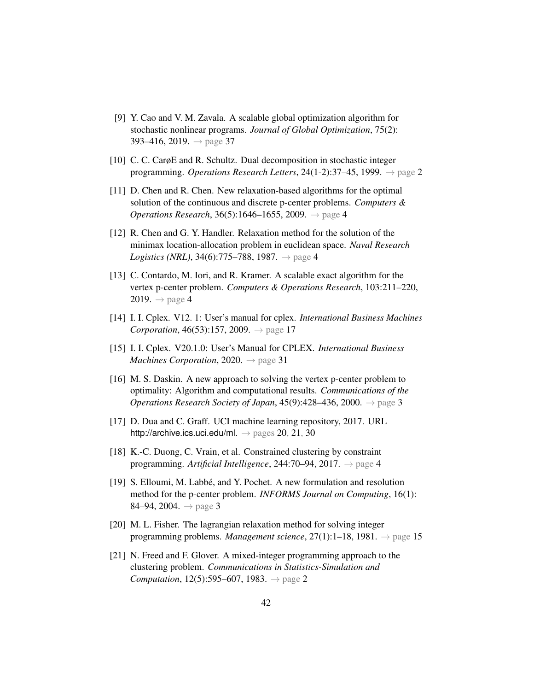- <span id="page-51-12"></span>[9] Y. Cao and V. M. Zavala. A scalable global optimization algorithm for stochastic nonlinear programs. *Journal of Global Optimization*, 75(2): 393–416, 2019.  $\rightarrow$  page [37](#page-46-1)
- <span id="page-51-1"></span>[10] C. C. CarøE and R. Schultz. Dual decomposition in stochastic integer programming. *Operations Research Letters*, 24(1-2):37–45, 1999. → page [2](#page-11-0)
- <span id="page-51-7"></span>[11] D. Chen and R. Chen. New relaxation-based algorithms for the optimal solution of the continuous and discrete p-center problems. *Computers & Operations Research*, 36(5):16[4](#page-13-1)6–1655, 2009. → page 4
- <span id="page-51-6"></span>[12] R. Chen and G. Y. Handler. Relaxation method for the solution of the minimax location-allocation problem in euclidean space. *Naval Research Logistics (NRL)*, 3[4](#page-13-1)(6):775–788, 1987.  $\rightarrow$  page 4
- <span id="page-51-5"></span>[13] C. Contardo, M. Iori, and R. Kramer. A scalable exact algorithm for the vertex p-center problem. *Computers & Operations Research*, 103:211–220, 2019.  $\rightarrow$  page [4](#page-13-1)
- <span id="page-51-9"></span>[14] I. I. Cplex. V12. 1: User's manual for cplex. *International Business Machines Corporation*,  $46(53):157, 2009. \rightarrow$  page [17](#page-26-1)
- <span id="page-51-11"></span>[15] I. I. Cplex. V20.1.0: User's Manual for CPLEX. *International Business Machines Corporation*, 2020. → page [31](#page-40-1)
- <span id="page-51-2"></span>[16] M. S. Daskin. A new approach to solving the vertex p-center problem to optimality: Algorithm and computational results. *Communications of the Operations Research Society of Japan*, 45(9):428–436, 2000. → page [3](#page-12-1)
- <span id="page-51-10"></span>[17] D. Dua and C. Graff. UCI machine learning repository, 2017. URL <http://archive.ics.uci.edu/ml>.  $\rightarrow$  pages [20,](#page-29-2) [21,](#page-30-1) [30](#page-39-2)
- <span id="page-51-4"></span>[18] K.-C. Duong, C. Vrain, et al. Constrained clustering by constraint programming. *Artificial Intelligence*, 244:70–94, 2017. → page [4](#page-13-1)
- <span id="page-51-3"></span>[19] S. Elloumi, M. Labbe, and Y. Pochet. A new formulation and resolution ´ method for the p-center problem. *INFORMS Journal on Computing*, 16(1): 84–94, 2004.  $\rightarrow$  page [3](#page-12-1)
- <span id="page-51-8"></span>[20] M. L. Fisher. The lagrangian relaxation method for solving integer programming problems. *Management science*, 27(1):1–18, 1981. → page [15](#page-24-3)
- <span id="page-51-0"></span>[21] N. Freed and F. Glover. A mixed-integer programming approach to the clustering problem. *Communications in Statistics-Simulation and Computation*, 1[2](#page-11-0)(5):595–607, 1983.  $\rightarrow$  page 2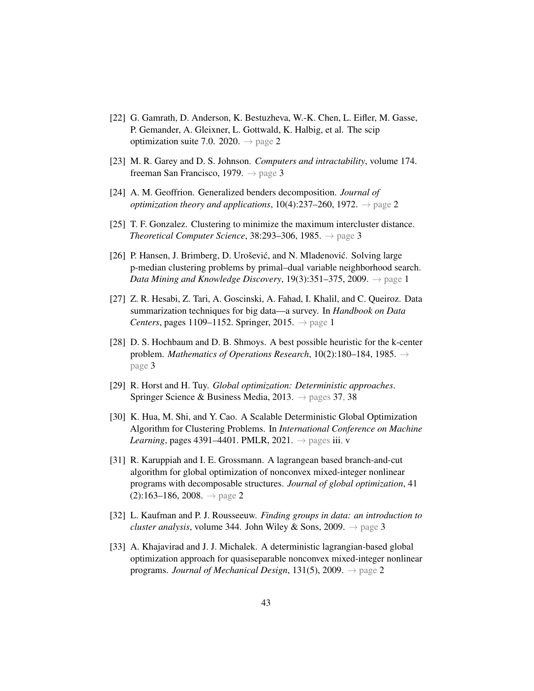- <span id="page-52-3"></span>[22] G. Gamrath, D. Anderson, K. Bestuzheva, W.-K. Chen, L. Eifler, M. Gasse, P. Gemander, A. Gleixner, L. Gottwald, K. Halbig, et al. The scip optimization suite 7.0. [2](#page-11-0)020.  $\rightarrow$  page 2
- <span id="page-52-9"></span>[23] M. R. Garey and D. S. Johnson. *Computers and intractability*, volume 174. freeman San Francisco, 1979.  $\rightarrow$  page [3](#page-12-1)
- <span id="page-52-4"></span>[24] A. M. Geoffrion. Generalized benders decomposition. *Journal of optimization theory and applications*,  $10(4):237–260$  $10(4):237–260$  $10(4):237–260$ ,  $1972$ .  $\rightarrow$  page 2
- <span id="page-52-8"></span>[25] T. F. Gonzalez. Clustering to minimize the maximum intercluster distance. *Theoretical Computer Science*, [3](#page-12-1)8:293–306, 1985.  $\rightarrow$  page 3
- <span id="page-52-2"></span>[26] P. Hansen, J. Brimberg, D. Urošević, and N. Mladenović. Solving large p-median clustering problems by primal–dual variable neighborhood search. *Data Mining and Knowledge Discovery,* [1](#page-10-2)9(3):351–375, 2009.  $\rightarrow$  page 1
- <span id="page-52-1"></span>[27] Z. R. Hesabi, Z. Tari, A. Goscinski, A. Fahad, I. Khalil, and C. Queiroz. Data summarization techniques for big data—a survey. In *Handbook on Data Centers*, pages [1](#page-10-2)109–1152. Springer, 2015.  $\rightarrow$  page 1
- <span id="page-52-10"></span>[28] D. S. Hochbaum and D. B. Shmoys. A best possible heuristic for the k-center problem. *Mathematics of Operations Research*, 10(2):180–184, 1985. → page [3](#page-12-1)
- <span id="page-52-11"></span>[29] R. Horst and H. Tuy. *Global optimization: Deterministic approaches*. Springer Science & Business Media, 2013.  $\rightarrow$  pages [37,](#page-46-1) [38](#page-47-3)
- <span id="page-52-0"></span>[30] K. Hua, M. Shi, and Y. Cao. A Scalable Deterministic Global Optimization Algorithm for Clustering Problems. In *International Conference on Machine Learning*, pages 4391–4401. PMLR, 2021.  $\rightarrow$  pages [iii,](#page-2-1) [v](#page-4-1)
- <span id="page-52-5"></span>[31] R. Karuppiah and I. E. Grossmann. A lagrangean based branch-and-cut algorithm for global optimization of nonconvex mixed-integer nonlinear programs with decomposable structures. *Journal of global optimization*, 41  $(2):163-186, 2008. \rightarrow$  $(2):163-186, 2008. \rightarrow$  $(2):163-186, 2008. \rightarrow$  page 2
- <span id="page-52-7"></span>[32] L. Kaufman and P. J. Rousseeuw. *Finding groups in data: an introduction to cluster analysis*, volume [3](#page-12-1)44. John Wiley & Sons, 2009.  $\rightarrow$  page 3
- <span id="page-52-6"></span>[33] A. Khajavirad and J. J. Michalek. A deterministic lagrangian-based global optimization approach for quasiseparable nonconvex mixed-integer nonlinear programs. *Journal of Mechanical Design*, 131(5), 2009. → page [2](#page-11-0)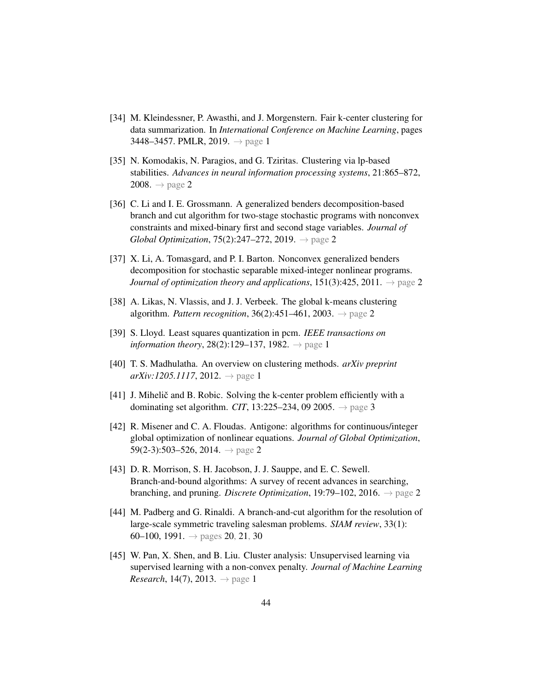- <span id="page-53-0"></span>[34] M. Kleindessner, P. Awasthi, and J. Morgenstern. Fair k-center clustering for data summarization. In *International Conference on Machine Learning*, pages 3448–3457. PMLR, 2019. → page [1](#page-10-2)
- <span id="page-53-5"></span>[35] N. Komodakis, N. Paragios, and G. Tziritas. Clustering via lp-based stabilities. *Advances in neural information processing systems*, 21:865–872, [2](#page-11-0)008.  $\rightarrow$  page 2
- <span id="page-53-8"></span>[36] C. Li and I. E. Grossmann. A generalized benders decomposition-based branch and cut algorithm for two-stage stochastic programs with nonconvex constraints and mixed-binary first and second stage variables. *Journal of Global Optimization*, 75(2):247–272, 2019. → page [2](#page-11-0)
- <span id="page-53-9"></span>[37] X. Li, A. Tomasgard, and P. I. Barton. Nonconvex generalized benders decomposition for stochastic separable mixed-integer nonlinear programs. *Journal of optimization theory and applications*,  $151(3):425$  $151(3):425$  $151(3):425$ ,  $2011. \rightarrow$  page 2
- <span id="page-53-4"></span>[38] A. Likas, N. Vlassis, and J. J. Verbeek. The global k-means clustering algorithm. *Pattern recognition*, 36(2):451–461, 2003. → page [2](#page-11-0)
- <span id="page-53-3"></span>[39] S. Lloyd. Least squares quantization in pcm. *IEEE transactions on information theory*, 28(2):[1](#page-10-2)29–137, 1982.  $\rightarrow$  page 1
- <span id="page-53-2"></span>[40] T. S. Madhulatha. An overview on clustering methods. *arXiv preprint*  $arXiv:1205.1117, 2012. \rightarrow$  $arXiv:1205.1117, 2012. \rightarrow$  $arXiv:1205.1117, 2012. \rightarrow$  page 1
- <span id="page-53-10"></span> $[41]$  J. Mihelič and B. Robic. Solving the k-center problem efficiently with a dominating set algorithm. *CIT*, 1[3](#page-12-1):225–234, 09 2005.  $\rightarrow$  page 3
- <span id="page-53-6"></span>[42] R. Misener and C. A. Floudas. Antigone: algorithms for continuous/integer global optimization of nonlinear equations. *Journal of Global Optimization*, 59([2](#page-11-0)-3):503–526, 2014.  $\rightarrow$  page 2
- <span id="page-53-7"></span>[43] D. R. Morrison, S. H. Jacobson, J. J. Sauppe, and E. C. Sewell. Branch-and-bound algorithms: A survey of recent advances in searching, branching, and pruning. *Discrete Optimization*, 19:79–102, 2016. → page [2](#page-11-0)
- <span id="page-53-11"></span>[44] M. Padberg and G. Rinaldi. A branch-and-cut algorithm for the resolution of large-scale symmetric traveling salesman problems. *SIAM review*, 33(1): 60–100, 1991.  $\rightarrow$  pages [20,](#page-29-2) [21,](#page-30-1) [30](#page-39-2)
- <span id="page-53-1"></span>[45] W. Pan, X. Shen, and B. Liu. Cluster analysis: Unsupervised learning via supervised learning with a non-convex penalty. *Journal of Machine Learning Research*, [1](#page-10-2)4(7), 2013.  $\rightarrow$  page 1